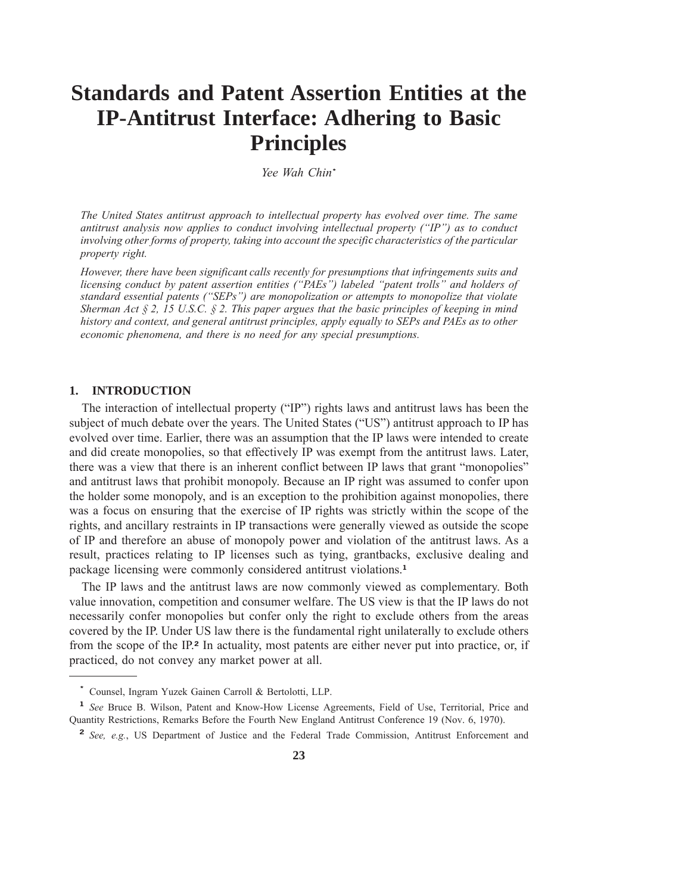# **Standards and Patent Assertion Entities at the IP-Antitrust Interface: Adhering to Basic Principles**

*Yee Wah Chin***\***

*The United States antitrust approach to intellectual property has evolved over time. The same antitrust analysis now applies to conduct involving intellectual property ("IP") as to conduct* involving other forms of property, taking into account the specific characteristics of the particular *property right.*

However, there have been significant calls recently for presumptions that infringements suits and *licensing conduct by patent assertion entities ("PAEs") labeled "patent trolls" and holders of standard essential patents ("SEPs") are monopolization or attempts to monopolize that violate Sherman Act § 2, 15 U.S.C. § 2. This paper argues that the basic principles of keeping in mind history and context, and general antitrust principles, apply equally to SEPs and PAEs as to other economic phenomena, and there is no need for any special presumptions.*

## **1. INTRODUCTION**

The interaction of intellectual property ("IP") rights laws and antitrust laws has been the subject of much debate over the years. The United States ("US") antitrust approach to IP has evolved over time. Earlier, there was an assumption that the IP laws were intended to create and did create monopolies, so that effectively IP was exempt from the antitrust laws. Later, there was a view that there is an inherent conflict between IP laws that grant "monopolies" and antitrust laws that prohibit monopoly. Because an IP right was assumed to confer upon the holder some monopoly, and is an exception to the prohibition against monopolies, there was a focus on ensuring that the exercise of IP rights was strictly within the scope of the rights, and ancillary restraints in IP transactions were generally viewed as outside the scope of IP and therefore an abuse of monopoly power and violation of the antitrust laws. As a result, practices relating to IP licenses such as tying, grantbacks, exclusive dealing and package licensing were commonly considered antitrust violations.**<sup>1</sup>**

The IP laws and the antitrust laws are now commonly viewed as complementary. Both value innovation, competition and consumer welfare. The US view is that the IP laws do not necessarily confer monopolies but confer only the right to exclude others from the areas covered by the IP. Under US law there is the fundamental right unilaterally to exclude others from the scope of the IP.**<sup>2</sup>** In actuality, most patents are either never put into practice, or, if practiced, do not convey any market power at all.

**<sup>\*</sup>** Counsel, Ingram Yuzek Gainen Carroll & Bertolotti, LLP.

**<sup>1</sup>** *See* Bruce B. Wilson, Patent and Know-How License Agreements, Field of Use, Territorial, Price and Quantity Restrictions, Remarks Before the Fourth New England Antitrust Conference 19 (Nov. 6, 1970).

**<sup>2</sup>** *See, e.g.*, US Department of Justice and the Federal Trade Commission, Antitrust Enforcement and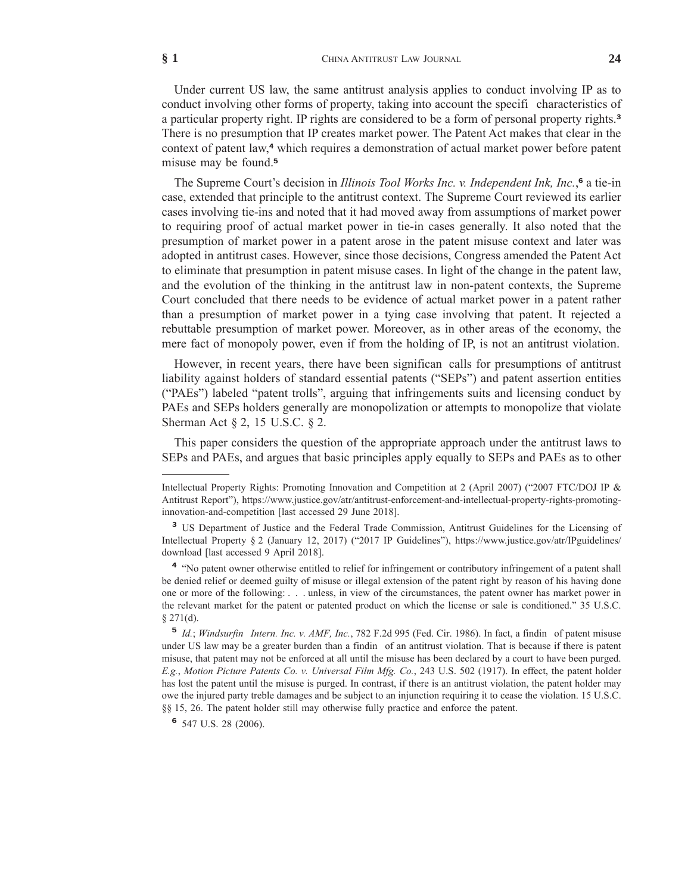Under current US law, the same antitrust analysis applies to conduct involving IP as to conduct involving other forms of property, taking into account the specifi characteristics of a particular property right. IP rights are considered to be a form of personal property rights.**<sup>3</sup>** There is no presumption that IP creates market power. The Patent Act makes that clear in the context of patent law,**<sup>4</sup>** which requires a demonstration of actual market power before patent misuse may be found.**<sup>5</sup>**

The Supreme Court's decision in *Illinois Tool Works Inc. v. Independent Ink, Inc.*, **<sup>6</sup>** a tie-in case, extended that principle to the antitrust context. The Supreme Court reviewed its earlier cases involving tie-ins and noted that it had moved away from assumptions of market power to requiring proof of actual market power in tie-in cases generally. It also noted that the presumption of market power in a patent arose in the patent misuse context and later was adopted in antitrust cases. However, since those decisions, Congress amended the Patent Act to eliminate that presumption in patent misuse cases. In light of the change in the patent law, and the evolution of the thinking in the antitrust law in non-patent contexts, the Supreme Court concluded that there needs to be evidence of actual market power in a patent rather than a presumption of market power in a tying case involving that patent. It rejected a rebuttable presumption of market power. Moreover, as in other areas of the economy, the mere fact of monopoly power, even if from the holding of IP, is not an antitrust violation.

However, in recent years, there have been significan calls for presumptions of antitrust liability against holders of standard essential patents ("SEPs") and patent assertion entities ("PAEs") labeled "patent trolls", arguing that infringements suits and licensing conduct by PAEs and SEPs holders generally are monopolization or attempts to monopolize that violate Sherman Act § 2, 15 U.S.C. § 2.

This paper considers the question of the appropriate approach under the antitrust laws to SEPs and PAEs, and argues that basic principles apply equally to SEPs and PAEs as to other

Intellectual Property Rights: Promoting Innovation and Competition at 2 (April 2007) ("2007 FTC/DOJ IP & Antitrust Report"), https://www.justice.gov/atr/antitrust-enforcement-and-intellectual-property-rights-promotinginnovation-and-competition [last accessed 29 June 2018].

**<sup>3</sup>** US Department of Justice and the Federal Trade Commission, Antitrust Guidelines for the Licensing of Intellectual Property § 2 (January 12, 2017) ("2017 IP Guidelines"), https://www.justice.gov/atr/IPguidelines/ download [last accessed 9 April 2018].

<sup>&</sup>lt;sup>4</sup> "No patent owner otherwise entitled to relief for infringement or contributory infringement of a patent shall be denied relief or deemed guilty of misuse or illegal extension of the patent right by reason of his having done one or more of the following: . . . unless, in view of the circumstances, the patent owner has market power in the relevant market for the patent or patented product on which the license or sale is conditioned." 35 U.S.C. § 271(d).

**<sup>5</sup>** *Id.*; *Windsurfin Intern. Inc. v. AMF, Inc.*, 782 F.2d 995 (Fed. Cir. 1986). In fact, a findin of patent misuse under US law may be a greater burden than a findin of an antitrust violation. That is because if there is patent misuse, that patent may not be enforced at all until the misuse has been declared by a court to have been purged. *E.g.*, *Motion Picture Patents Co. v. Universal Film Mfg. Co.*, 243 U.S. 502 (1917). In effect, the patent holder has lost the patent until the misuse is purged. In contrast, if there is an antitrust violation, the patent holder may owe the injured party treble damages and be subject to an injunction requiring it to cease the violation. 15 U.S.C. §§ 15, 26. The patent holder still may otherwise fully practice and enforce the patent.

**<sup>6</sup>** 547 U.S. 28 (2006).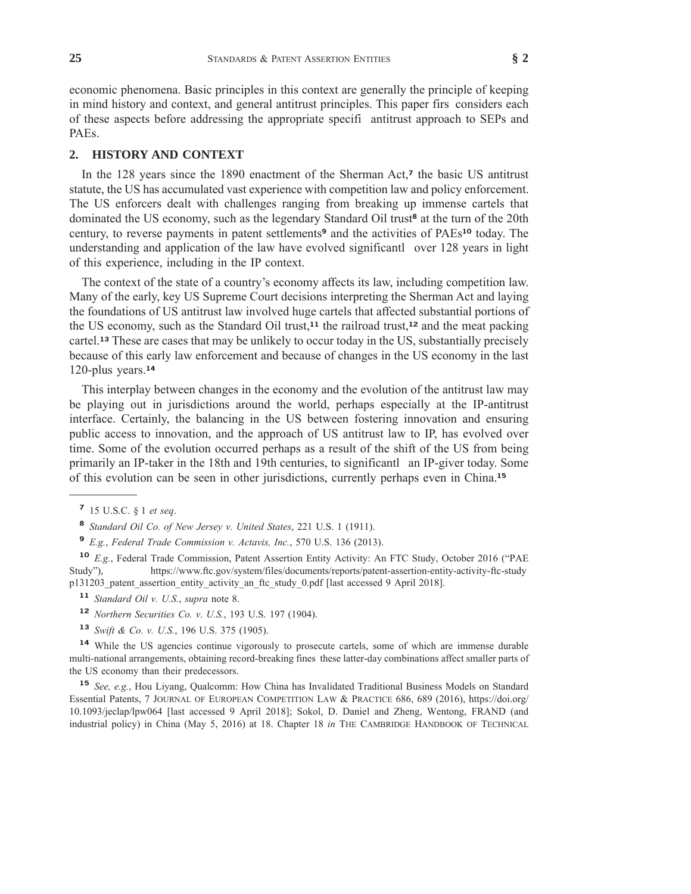economic phenomena. Basic principles in this context are generally the principle of keeping in mind history and context, and general antitrust principles. This paper firs considers each of these aspects before addressing the appropriate specifi antitrust approach to SEPs and PAEs.

#### **2. HISTORY AND CONTEXT**

In the 128 years since the 1890 enactment of the Sherman Act,**<sup>7</sup>** the basic US antitrust statute, the US has accumulated vast experience with competition law and policy enforcement. The US enforcers dealt with challenges ranging from breaking up immense cartels that dominated the US economy, such as the legendary Standard Oil trust**<sup>8</sup>** at the turn of the 20th century, to reverse payments in patent settlements**<sup>9</sup>** and the activities of PAEs**<sup>10</sup>** today. The understanding and application of the law have evolved significantl over 128 years in light of this experience, including in the IP context.

The context of the state of a country's economy affects its law, including competition law. Many of the early, key US Supreme Court decisions interpreting the Sherman Act and laying the foundations of US antitrust law involved huge cartels that affected substantial portions of the US economy, such as the Standard Oil trust,**<sup>11</sup>** the railroad trust,**<sup>12</sup>** and the meat packing cartel.**<sup>13</sup>** These are cases that may be unlikely to occur today in the US, substantially precisely because of this early law enforcement and because of changes in the US economy in the last 120-plus years.**<sup>14</sup>**

This interplay between changes in the economy and the evolution of the antitrust law may be playing out in jurisdictions around the world, perhaps especially at the IP-antitrust interface. Certainly, the balancing in the US between fostering innovation and ensuring public access to innovation, and the approach of US antitrust law to IP, has evolved over time. Some of the evolution occurred perhaps as a result of the shift of the US from being primarily an IP-taker in the 18th and 19th centuries, to significantl an IP-giver today. Some of this evolution can be seen in other jurisdictions, currently perhaps even in China.**<sup>15</sup>**

- **<sup>11</sup>** *Standard Oil v. U.S.*, *supra* note 8.
- **<sup>12</sup>** *Northern Securities Co. v. U.S.*, 193 U.S. 197 (1904).
- **<sup>13</sup>** *Swift & Co. v. U.S.*, 196 U.S. 375 (1905).

**<sup>14</sup>** While the US agencies continue vigorously to prosecute cartels, some of which are immense durable multi-national arrangements, obtaining record-breaking fines these latter-day combinations affect smaller parts of the US economy than their predecessors.

**<sup>15</sup>** *See, e.g.*, Hou Liyang, Qualcomm: How China has Invalidated Traditional Business Models on Standard Essential Patents, 7 JOURNAL OF EUROPEAN COMPETITION LAW & PRACTICE 686, 689 (2016), https://doi.org/ 10.1093/jeclap/lpw064 [last accessed 9 April 2018]; Sokol, D. Daniel and Zheng, Wentong, FRAND (and industrial policy) in China (May 5, 2016) at 18. Chapter 18 *in* THE CAMBRIDGE HANDBOOK OF TECHNICAL

**<sup>7</sup>** 15 U.S.C. § 1 *et seq*.

**<sup>8</sup>** *Standard Oil Co. of New Jersey v. United States*, 221 U.S. 1 (1911).

**<sup>9</sup>** *E.g.*, *Federal Trade Commission v. Actavis, Inc.*, 570 U.S. 136 (2013).

**<sup>10</sup>** *E.g.*, Federal Trade Commission, Patent Assertion Entity Activity: An FTC Study, October 2016 ("PAE Study"), https://www.ftc.gov/system/files/documents/reports/patent-assertion-entity-activity-ftc-study p131203\_patent\_assertion\_entity\_activity\_an\_ftc\_study\_0.pdf [last accessed 9 April 2018].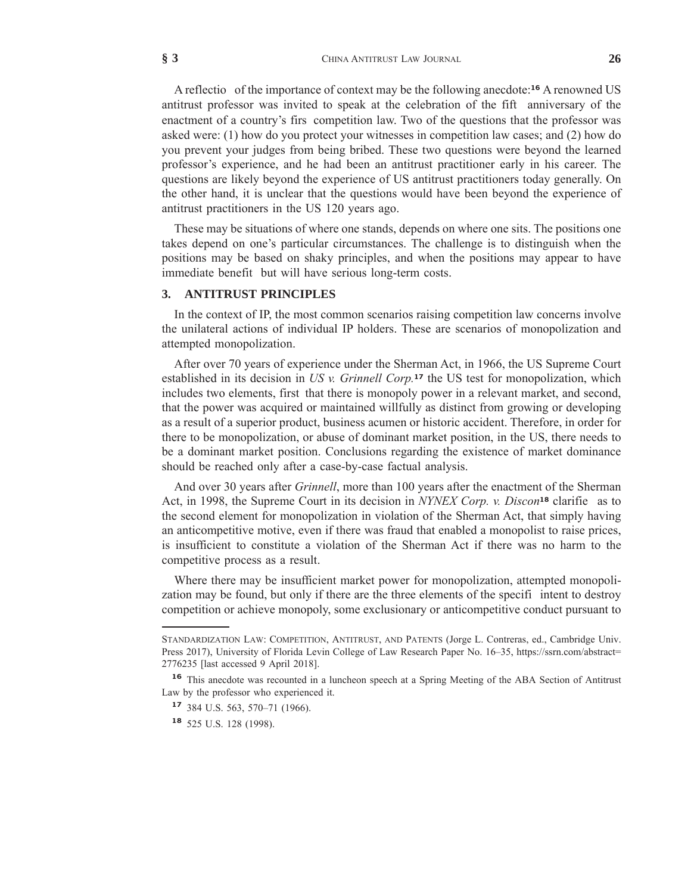A reflectio of the importance of context may be the following anecdote:**<sup>16</sup>** A renowned US antitrust professor was invited to speak at the celebration of the fift anniversary of the enactment of a country's firs competition law. Two of the questions that the professor was asked were: (1) how do you protect your witnesses in competition law cases; and (2) how do you prevent your judges from being bribed. These two questions were beyond the learned professor's experience, and he had been an antitrust practitioner early in his career. The questions are likely beyond the experience of US antitrust practitioners today generally. On the other hand, it is unclear that the questions would have been beyond the experience of antitrust practitioners in the US 120 years ago.

These may be situations of where one stands, depends on where one sits. The positions one takes depend on one's particular circumstances. The challenge is to distinguish when the positions may be based on shaky principles, and when the positions may appear to have immediate benefit but will have serious long-term costs.

#### **3. ANTITRUST PRINCIPLES**

In the context of IP, the most common scenarios raising competition law concerns involve the unilateral actions of individual IP holders. These are scenarios of monopolization and attempted monopolization.

After over 70 years of experience under the Sherman Act, in 1966, the US Supreme Court established in its decision in *US v. Grinnell Corp.***<sup>17</sup>** the US test for monopolization, which includes two elements, first that there is monopoly power in a relevant market, and second, that the power was acquired or maintained willfully as distinct from growing or developing as a result of a superior product, business acumen or historic accident. Therefore, in order for there to be monopolization, or abuse of dominant market position, in the US, there needs to be a dominant market position. Conclusions regarding the existence of market dominance should be reached only after a case-by-case factual analysis.

And over 30 years after *Grinnell*, more than 100 years after the enactment of the Sherman Act, in 1998, the Supreme Court in its decision in *NYNEX Corp. v. Discon***<sup>18</sup>** clarifie as to the second element for monopolization in violation of the Sherman Act, that simply having an anticompetitive motive, even if there was fraud that enabled a monopolist to raise prices, is insufficient to constitute a violation of the Sherman Act if there was no harm to the competitive process as a result.

Where there may be insufficient market power for monopolization, attempted monopolization may be found, but only if there are the three elements of the specifi intent to destroy competition or achieve monopoly, some exclusionary or anticompetitive conduct pursuant to

STANDARDIZATION LAW: COMPETITION, ANTITRUST, AND PATENTS (Jorge L. Contreras, ed., Cambridge Univ. Press 2017), University of Florida Levin College of Law Research Paper No. 16–35, https://ssrn.com/abstract= 2776235 [last accessed 9 April 2018].

<sup>&</sup>lt;sup>16</sup> This anecdote was recounted in a luncheon speech at a Spring Meeting of the ABA Section of Antitrust Law by the professor who experienced it.

**<sup>17</sup>** 384 U.S. 563, 570–71 (1966).

**<sup>18</sup>** 525 U.S. 128 (1998).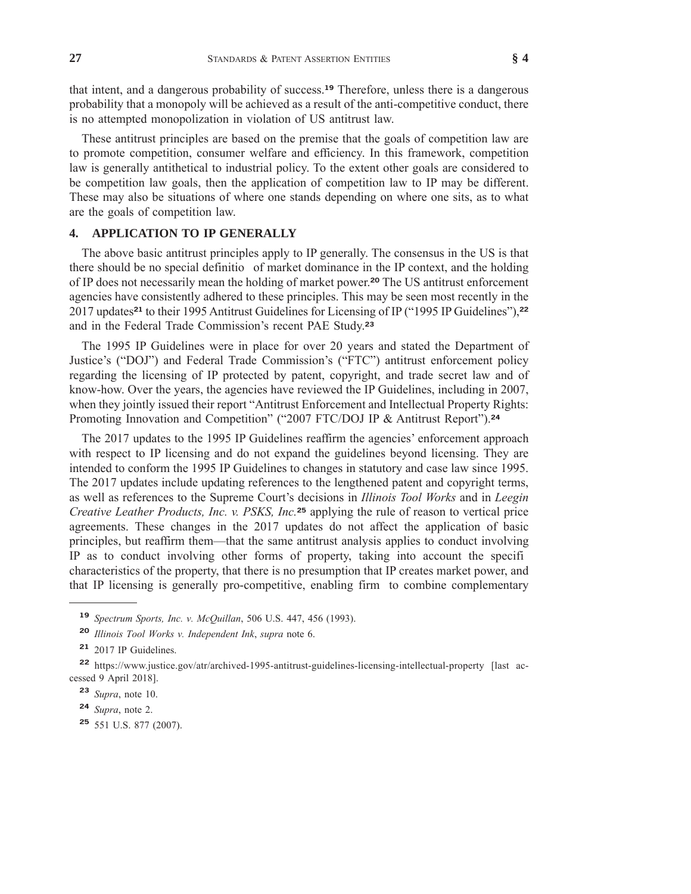that intent, and a dangerous probability of success.**<sup>19</sup>** Therefore, unless there is a dangerous probability that a monopoly will be achieved as a result of the anti-competitive conduct, there is no attempted monopolization in violation of US antitrust law.

These antitrust principles are based on the premise that the goals of competition law are to promote competition, consumer welfare and efficiency. In this framework, competition law is generally antithetical to industrial policy. To the extent other goals are considered to be competition law goals, then the application of competition law to IP may be different. These may also be situations of where one stands depending on where one sits, as to what are the goals of competition law.

### **4. APPLICATION TO IP GENERALLY**

The above basic antitrust principles apply to IP generally. The consensus in the US is that there should be no special definitio of market dominance in the IP context, and the holding of IP does not necessarily mean the holding of market power.**<sup>20</sup>** The US antitrust enforcement agencies have consistently adhered to these principles. This may be seen most recently in the 2017 updates**<sup>21</sup>** to their 1995 Antitrust Guidelines for Licensing of IP ("1995 IP Guidelines"),**<sup>22</sup>** and in the Federal Trade Commission's recent PAE Study.**<sup>23</sup>**

The 1995 IP Guidelines were in place for over 20 years and stated the Department of Justice's ("DOJ") and Federal Trade Commission's ("FTC") antitrust enforcement policy regarding the licensing of IP protected by patent, copyright, and trade secret law and of know-how. Over the years, the agencies have reviewed the IP Guidelines, including in 2007, when they jointly issued their report "Antitrust Enforcement and Intellectual Property Rights: Promoting Innovation and Competition" ("2007 FTC/DOJ IP & Antitrust Report").**<sup>24</sup>**

The 2017 updates to the 1995 IP Guidelines reaffirm the agencies' enforcement approach with respect to IP licensing and do not expand the guidelines beyond licensing. They are intended to conform the 1995 IP Guidelines to changes in statutory and case law since 1995. The 2017 updates include updating references to the lengthened patent and copyright terms, as well as references to the Supreme Court's decisions in *Illinois Tool Works* and in *Leegin Creative Leather Products, Inc. v. PSKS, Inc.***<sup>25</sup>** applying the rule of reason to vertical price agreements. These changes in the 2017 updates do not affect the application of basic principles, but reaffirm them—that the same antitrust analysis applies to conduct involving IP as to conduct involving other forms of property, taking into account the specifi characteristics of the property, that there is no presumption that IP creates market power, and that IP licensing is generally pro-competitive, enabling firm to combine complementary

**<sup>19</sup>** *Spectrum Sports, Inc. v. McQuillan*, 506 U.S. 447, 456 (1993).

**<sup>20</sup>** *Illinois Tool Works v. Independent Ink*, *supra* note 6.

<sup>&</sup>lt;sup>21</sup> 2017 IP Guidelines.

**<sup>22</sup>** https://www.justice.gov/atr/archived-1995-antitrust-guidelines-licensing-intellectual-property [last accessed 9 April 2018].

**<sup>23</sup>** *Supra*, note 10.

**<sup>24</sup>** *Supra*, note 2.

**<sup>25</sup>** 551 U.S. 877 (2007).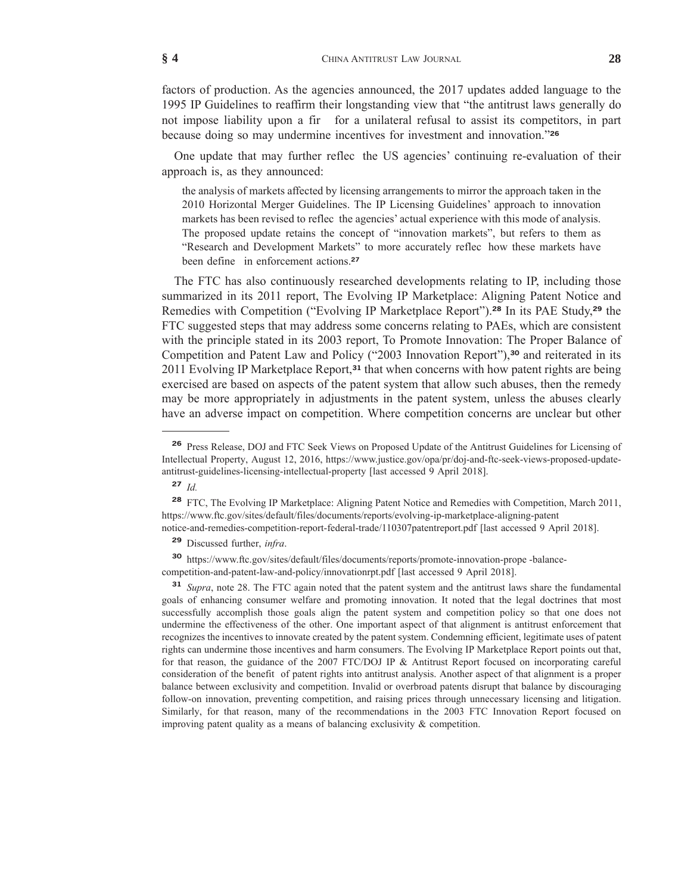factors of production. As the agencies announced, the 2017 updates added language to the 1995 IP Guidelines to reaffirm their longstanding view that "the antitrust laws generally do not impose liability upon a fir for a unilateral refusal to assist its competitors, in part because doing so may undermine incentives for investment and innovation."**<sup>26</sup>**

One update that may further reflec the US agencies' continuing re-evaluation of their approach is, as they announced:

the analysis of markets affected by licensing arrangements to mirror the approach taken in the 2010 Horizontal Merger Guidelines. The IP Licensing Guidelines' approach to innovation markets has been revised to reflec the agencies' actual experience with this mode of analysis. The proposed update retains the concept of "innovation markets", but refers to them as "Research and Development Markets" to more accurately reflec how these markets have been define in enforcement actions.**<sup>27</sup>**

The FTC has also continuously researched developments relating to IP, including those summarized in its 2011 report, The Evolving IP Marketplace: Aligning Patent Notice and Remedies with Competition ("Evolving IP Marketplace Report").**<sup>28</sup>** In its PAE Study,**<sup>29</sup>** the FTC suggested steps that may address some concerns relating to PAEs, which are consistent with the principle stated in its 2003 report, To Promote Innovation: The Proper Balance of Competition and Patent Law and Policy ("2003 Innovation Report"),**<sup>30</sup>** and reiterated in its 2011 Evolving IP Marketplace Report,**<sup>31</sup>** that when concerns with how patent rights are being exercised are based on aspects of the patent system that allow such abuses, then the remedy may be more appropriately in adjustments in the patent system, unless the abuses clearly have an adverse impact on competition. Where competition concerns are unclear but other

**<sup>27</sup>** *Id.*

**<sup>29</sup>** Discussed further, *infra*.

**<sup>30</sup>** https://www.ftc.gov/sites/default/files/documents/reports/promote-innovation-prope -balancecompetition-and-patent-law-and-policy/innovationrpt.pdf [last accessed 9 April 2018].

**<sup>31</sup>** *Supra*, note 28. The FTC again noted that the patent system and the antitrust laws share the fundamental goals of enhancing consumer welfare and promoting innovation. It noted that the legal doctrines that most successfully accomplish those goals align the patent system and competition policy so that one does not undermine the effectiveness of the other. One important aspect of that alignment is antitrust enforcement that recognizes the incentives to innovate created by the patent system. Condemning efficient, legitimate uses of patent rights can undermine those incentives and harm consumers. The Evolving IP Marketplace Report points out that, for that reason, the guidance of the 2007 FTC/DOJ IP & Antitrust Report focused on incorporating careful consideration of the benefit of patent rights into antitrust analysis. Another aspect of that alignment is a proper balance between exclusivity and competition. Invalid or overbroad patents disrupt that balance by discouraging follow-on innovation, preventing competition, and raising prices through unnecessary licensing and litigation. Similarly, for that reason, many of the recommendations in the 2003 FTC Innovation Report focused on improving patent quality as a means of balancing exclusivity & competition.

**<sup>26</sup>** Press Release, DOJ and FTC Seek Views on Proposed Update of the Antitrust Guidelines for Licensing of Intellectual Property, August 12, 2016, https://www.justice.gov/opa/pr/doj-and-ftc-seek-views-proposed-updateantitrust-guidelines-licensing-intellectual-property [last accessed 9 April 2018].

**<sup>28</sup>** FTC, The Evolving IP Marketplace: Aligning Patent Notice and Remedies with Competition, March 2011, https://www.ftc.gov/sites/default/files/documents/reports/evolving-ip-marketplace-aligning-patent notice-and-remedies-competition-report-federal-trade/110307patentreport.pdf [last accessed 9 April 2018].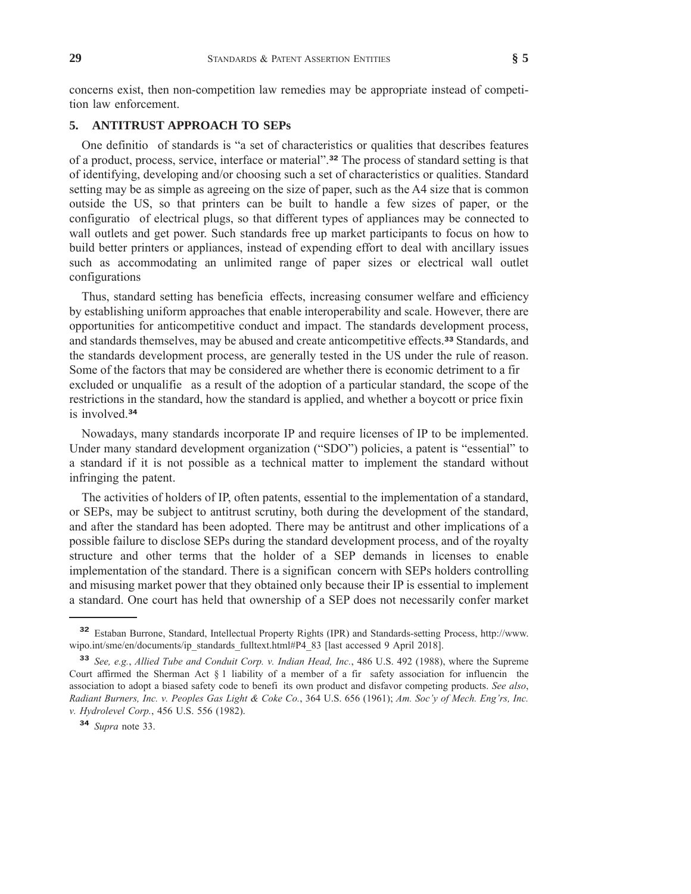concerns exist, then non-competition law remedies may be appropriate instead of competition law enforcement.

#### **5. ANTITRUST APPROACH TO SEPs**

One definitio of standards is "a set of characteristics or qualities that describes features of a product, process, service, interface or material".**<sup>32</sup>** The process of standard setting is that of identifying, developing and/or choosing such a set of characteristics or qualities. Standard setting may be as simple as agreeing on the size of paper, such as the A4 size that is common outside the US, so that printers can be built to handle a few sizes of paper, or the configuratio of electrical plugs, so that different types of appliances may be connected to wall outlets and get power. Such standards free up market participants to focus on how to build better printers or appliances, instead of expending effort to deal with ancillary issues such as accommodating an unlimited range of paper sizes or electrical wall outlet configurations

Thus, standard setting has beneficia effects, increasing consumer welfare and efficiency by establishing uniform approaches that enable interoperability and scale. However, there are opportunities for anticompetitive conduct and impact. The standards development process, and standards themselves, may be abused and create anticompetitive effects.**<sup>33</sup>** Standards, and the standards development process, are generally tested in the US under the rule of reason. Some of the factors that may be considered are whether there is economic detriment to a fir excluded or unqualifie as a result of the adoption of a particular standard, the scope of the restrictions in the standard, how the standard is applied, and whether a boycott or price fixin is involved.**<sup>34</sup>**

Nowadays, many standards incorporate IP and require licenses of IP to be implemented. Under many standard development organization ("SDO") policies, a patent is "essential" to a standard if it is not possible as a technical matter to implement the standard without infringing the patent.

The activities of holders of IP, often patents, essential to the implementation of a standard, or SEPs, may be subject to antitrust scrutiny, both during the development of the standard, and after the standard has been adopted. There may be antitrust and other implications of a possible failure to disclose SEPs during the standard development process, and of the royalty structure and other terms that the holder of a SEP demands in licenses to enable implementation of the standard. There is a significan concern with SEPs holders controlling and misusing market power that they obtained only because their IP is essential to implement a standard. One court has held that ownership of a SEP does not necessarily confer market

**<sup>32</sup>** Estaban Burrone, Standard, Intellectual Property Rights (IPR) and Standards-setting Process, http://www. wipo.int/sme/en/documents/ip\_standards\_fulltext.html#P4\_83 [last accessed 9 April 2018].

**<sup>33</sup>** *See, e.g.*, *Allied Tube and Conduit Corp. v. Indian Head, Inc.*, 486 U.S. 492 (1988), where the Supreme Court affirmed the Sherman Act § 1 liability of a member of a fir safety association for influencin the association to adopt a biased safety code to benefi its own product and disfavor competing products. *See also*, *Radiant Burners, Inc. v. Peoples Gas Light & Coke Co.*, 364 U.S. 656 (1961); *Am. Soc'y of Mech. Eng'rs, Inc. v. Hydrolevel Corp.*, 456 U.S. 556 (1982).

**<sup>34</sup>** *Supra* note 33.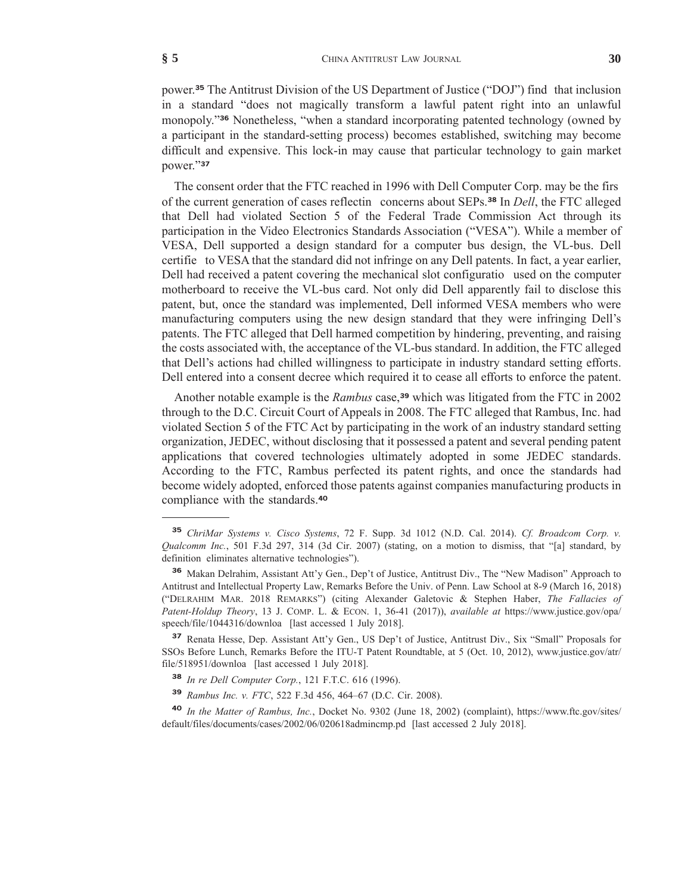power.**<sup>35</sup>** The Antitrust Division of the US Department of Justice ("DOJ") find that inclusion in a standard "does not magically transform a lawful patent right into an unlawful monopoly."**<sup>36</sup>** Nonetheless, "when a standard incorporating patented technology (owned by a participant in the standard-setting process) becomes established, switching may become difficult and expensive. This lock-in may cause that particular technology to gain market power."**<sup>37</sup>**

The consent order that the FTC reached in 1996 with Dell Computer Corp. may be the firs of the current generation of cases reflectin concerns about SEPs.**<sup>38</sup>** In *Dell*, the FTC alleged that Dell had violated Section 5 of the Federal Trade Commission Act through its participation in the Video Electronics Standards Association ("VESA"). While a member of VESA, Dell supported a design standard for a computer bus design, the VL-bus. Dell certifie to VESA that the standard did not infringe on any Dell patents. In fact, a year earlier, Dell had received a patent covering the mechanical slot configuratio used on the computer motherboard to receive the VL-bus card. Not only did Dell apparently fail to disclose this patent, but, once the standard was implemented, Dell informed VESA members who were manufacturing computers using the new design standard that they were infringing Dell's patents. The FTC alleged that Dell harmed competition by hindering, preventing, and raising the costs associated with, the acceptance of the VL-bus standard. In addition, the FTC alleged that Dell's actions had chilled willingness to participate in industry standard setting efforts. Dell entered into a consent decree which required it to cease all efforts to enforce the patent.

Another notable example is the *Rambus* case,**<sup>39</sup>** which was litigated from the FTC in 2002 through to the D.C. Circuit Court of Appeals in 2008. The FTC alleged that Rambus, Inc. had violated Section 5 of the FTC Act by participating in the work of an industry standard setting organization, JEDEC, without disclosing that it possessed a patent and several pending patent applications that covered technologies ultimately adopted in some JEDEC standards. According to the FTC, Rambus perfected its patent rights, and once the standards had become widely adopted, enforced those patents against companies manufacturing products in compliance with the standards.**<sup>40</sup>**

**<sup>35</sup>** *ChriMar Systems v. Cisco Systems*, 72 F. Supp. 3d 1012 (N.D. Cal. 2014). *Cf. Broadcom Corp. v. Qualcomm Inc.*, 501 F.3d 297, 314 (3d Cir. 2007) (stating, on a motion to dismiss, that "[a] standard, by definition eliminates alternative technologies").

**<sup>36</sup>** Makan Delrahim, Assistant Att'y Gen., Dep't of Justice, Antitrust Div., The "New Madison" Approach to Antitrust and Intellectual Property Law, Remarks Before the Univ. of Penn. Law School at 8-9 (March 16, 2018) ("DELRAHIM MAR. 2018 REMARKS") (citing Alexander Galetovic & Stephen Haber, *The Fallacies of Patent-Holdup Theory*, 13 J. COMP. L. & ECON. 1, 36-41 (2017)), *available at* https://www.justice.gov/opa/ speech/file/1044316/downloa [last accessed 1 July 2018].

**<sup>37</sup>** Renata Hesse, Dep. Assistant Att'y Gen., US Dep't of Justice, Antitrust Div., Six "Small" Proposals for SSOs Before Lunch, Remarks Before the ITU-T Patent Roundtable, at 5 (Oct. 10, 2012), www.justice.gov/atr/ file/518951/downloa [last accessed 1 July 2018].

**<sup>38</sup>** *In re Dell Computer Corp.*, 121 F.T.C. 616 (1996).

**<sup>39</sup>** *Rambus Inc. v. FTC*, 522 F.3d 456, 464–67 (D.C. Cir. 2008).

**<sup>40</sup>** *In the Matter of Rambus, Inc.*, Docket No. 9302 (June 18, 2002) (complaint), https://www.ftc.gov/sites/ default/files/documents/cases/2002/06/020618admincmp.pd [last accessed 2 July 2018].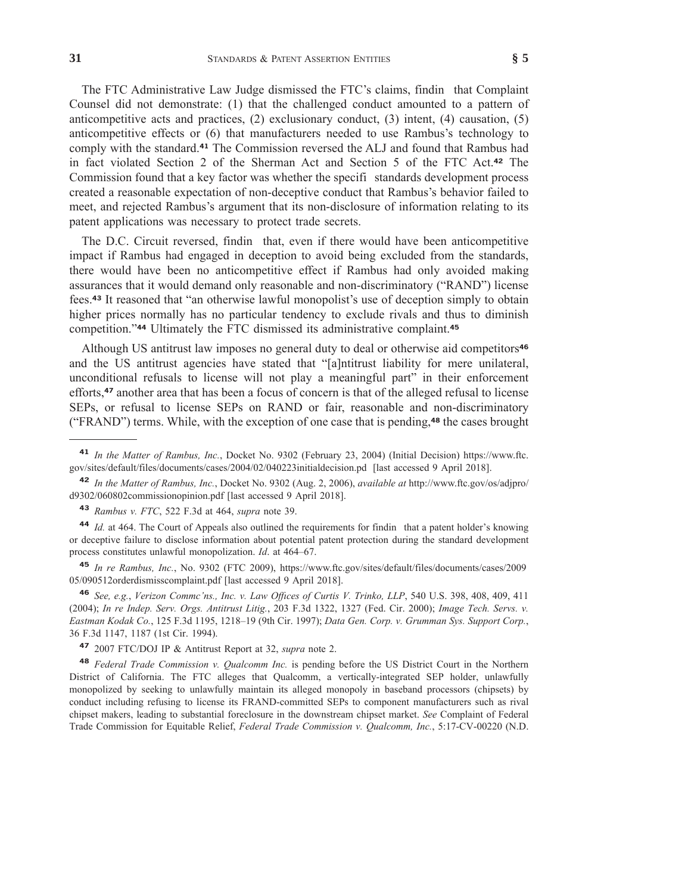The FTC Administrative Law Judge dismissed the FTC's claims, findin that Complaint Counsel did not demonstrate: (1) that the challenged conduct amounted to a pattern of anticompetitive acts and practices, (2) exclusionary conduct, (3) intent, (4) causation, (5) anticompetitive effects or (6) that manufacturers needed to use Rambus's technology to comply with the standard.**<sup>41</sup>** The Commission reversed the ALJ and found that Rambus had in fact violated Section 2 of the Sherman Act and Section 5 of the FTC Act.**<sup>42</sup>** The Commission found that a key factor was whether the specifi standards development process created a reasonable expectation of non-deceptive conduct that Rambus's behavior failed to meet, and rejected Rambus's argument that its non-disclosure of information relating to its patent applications was necessary to protect trade secrets.

The D.C. Circuit reversed, findin that, even if there would have been anticompetitive impact if Rambus had engaged in deception to avoid being excluded from the standards, there would have been no anticompetitive effect if Rambus had only avoided making assurances that it would demand only reasonable and non-discriminatory ("RAND") license fees.**<sup>43</sup>** It reasoned that "an otherwise lawful monopolist's use of deception simply to obtain higher prices normally has no particular tendency to exclude rivals and thus to diminish competition."**<sup>44</sup>** Ultimately the FTC dismissed its administrative complaint.**<sup>45</sup>**

Although US antitrust law imposes no general duty to deal or otherwise aid competitors**<sup>46</sup>** and the US antitrust agencies have stated that "[a]ntitrust liability for mere unilateral, unconditional refusals to license will not play a meaningful part" in their enforcement efforts,**<sup>47</sup>** another area that has been a focus of concern is that of the alleged refusal to license SEPs, or refusal to license SEPs on RAND or fair, reasonable and non-discriminatory ("FRAND") terms. While, with the exception of one case that is pending,**<sup>48</sup>** the cases brought

**<sup>41</sup>** *In the Matter of Rambus, Inc.*, Docket No. 9302 (February 23, 2004) (Initial Decision) https://www.ftc. gov/sites/default/files/documents/cases/2004/02/040223initialdecision.pd [last accessed 9 April 2018].

**<sup>42</sup>** *In the Matter of Rambus, Inc.*, Docket No. 9302 (Aug. 2, 2006), *available at* http://www.ftc.gov/os/adjpro/ d9302/060802commissionopinion.pdf [last accessed 9 April 2018].

**<sup>43</sup>** *Rambus v. FTC*, 522 F.3d at 464, *supra* note 39.

**<sup>44</sup>** *Id.* at 464. The Court of Appeals also outlined the requirements for findin that a patent holder's knowing or deceptive failure to disclose information about potential patent protection during the standard development process constitutes unlawful monopolization. *Id*. at 464–67.

**<sup>45</sup>** *In re Rambus, Inc.*, No. 9302 (FTC 2009), https://www.ftc.gov/sites/default/files/documents/cases/2009 05/090512orderdismisscomplaint.pdf [last accessed 9 April 2018].

**<sup>46</sup>** *See, e.g.*, *Verizon Commc'ns., Inc. v. Law Offıces of Curtis V. Trinko, LLP*, 540 U.S. 398, 408, 409, 411 (2004); *In re Indep. Serv. Orgs. Antitrust Litig.*, 203 F.3d 1322, 1327 (Fed. Cir. 2000); *Image Tech. Servs. v. Eastman Kodak Co.*, 125 F.3d 1195, 1218–19 (9th Cir. 1997); *Data Gen. Corp. v. Grumman Sys. Support Corp.*, 36 F.3d 1147, 1187 (1st Cir. 1994).

**<sup>47</sup>** 2007 FTC/DOJ IP & Antitrust Report at 32, *supra* note 2.

**<sup>48</sup>** *Federal Trade Commission v. Qualcomm Inc.* is pending before the US District Court in the Northern District of California. The FTC alleges that Qualcomm, a vertically-integrated SEP holder, unlawfully monopolized by seeking to unlawfully maintain its alleged monopoly in baseband processors (chipsets) by conduct including refusing to license its FRAND-committed SEPs to component manufacturers such as rival chipset makers, leading to substantial foreclosure in the downstream chipset market. *See* Complaint of Federal Trade Commission for Equitable Relief, *Federal Trade Commission v. Qualcomm, Inc.*, 5:17-CV-00220 (N.D.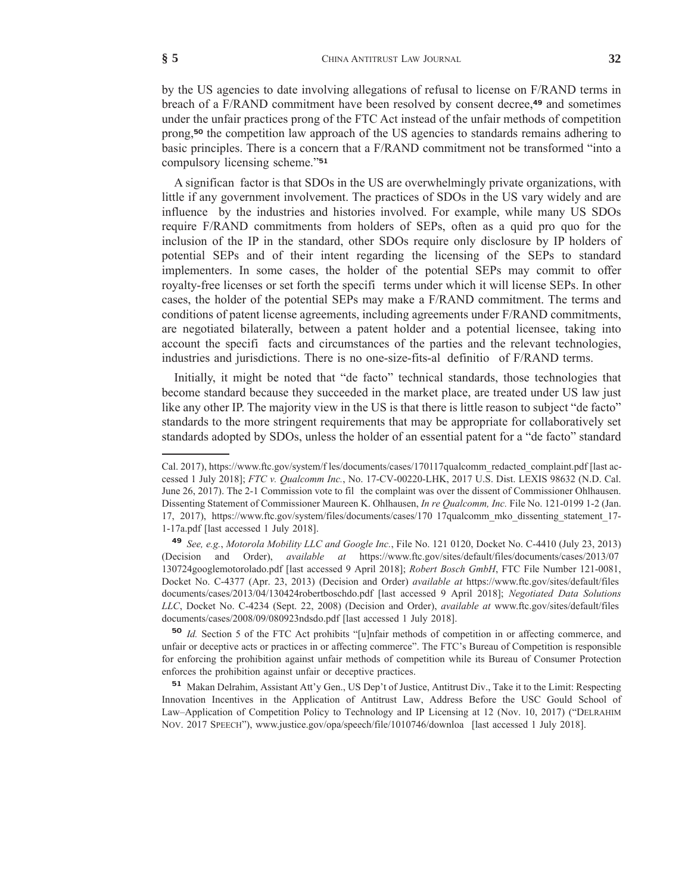by the US agencies to date involving allegations of refusal to license on F/RAND terms in breach of a F/RAND commitment have been resolved by consent decree,**<sup>49</sup>** and sometimes under the unfair practices prong of the FTC Act instead of the unfair methods of competition prong,**<sup>50</sup>** the competition law approach of the US agencies to standards remains adhering to basic principles. There is a concern that a F/RAND commitment not be transformed "into a compulsory licensing scheme."**<sup>51</sup>**

A significan factor is that SDOs in the US are overwhelmingly private organizations, with little if any government involvement. The practices of SDOs in the US vary widely and are influence by the industries and histories involved. For example, while many US SDOs require F/RAND commitments from holders of SEPs, often as a quid pro quo for the inclusion of the IP in the standard, other SDOs require only disclosure by IP holders of potential SEPs and of their intent regarding the licensing of the SEPs to standard implementers. In some cases, the holder of the potential SEPs may commit to offer royalty-free licenses or set forth the specifi terms under which it will license SEPs. In other cases, the holder of the potential SEPs may make a F/RAND commitment. The terms and conditions of patent license agreements, including agreements under F/RAND commitments, are negotiated bilaterally, between a patent holder and a potential licensee, taking into account the specifi facts and circumstances of the parties and the relevant technologies, industries and jurisdictions. There is no one-size-fits-al definitio of F/RAND terms.

Initially, it might be noted that "de facto" technical standards, those technologies that become standard because they succeeded in the market place, are treated under US law just like any other IP. The majority view in the US is that there is little reason to subject "de facto" standards to the more stringent requirements that may be appropriate for collaboratively set standards adopted by SDOs, unless the holder of an essential patent for a "de facto" standard

Cal. 2017), https://www.ftc.gov/system/f les/documents/cases/170117qualcomm\_redacted\_complaint.pdf [last accessed 1 July 2018]; *FTC v. Qualcomm Inc.*, No. 17-CV-00220-LHK, 2017 U.S. Dist. LEXIS 98632 (N.D. Cal. June 26, 2017). The 2-1 Commission vote to fil the complaint was over the dissent of Commissioner Ohlhausen. Dissenting Statement of Commissioner Maureen K. Ohlhausen, *In re Qualcomm, Inc.* File No. 121-0199 1-2 (Jan. 17, 2017), https://www.ftc.gov/system/files/documents/cases/170 17qualcomm\_mko\_dissenting\_statement\_17- 1-17a.pdf [last accessed 1 July 2018].

**<sup>49</sup>** *See, e.g.*, *Motorola Mobility LLC and Google Inc.*, File No. 121 0120, Docket No. C-4410 (July 23, 2013) (Decision and Order), *available at* https://www.ftc.gov/sites/default/files/documents/cases/2013/07 130724googlemotorolado.pdf [last accessed 9 April 2018]; *Robert Bosch GmbH*, FTC File Number 121-0081, Docket No. C-4377 (Apr. 23, 2013) (Decision and Order) *available at* https://www.ftc.gov/sites/default/files documents/cases/2013/04/130424robertboschdo.pdf [last accessed 9 April 2018]; *Negotiated Data Solutions LLC*, Docket No. C-4234 (Sept. 22, 2008) (Decision and Order), *available at* www.ftc.gov/sites/default/files documents/cases/2008/09/080923ndsdo.pdf [last accessed 1 July 2018].

**<sup>50</sup>** *Id.* Section 5 of the FTC Act prohibits "[u]nfair methods of competition in or affecting commerce, and unfair or deceptive acts or practices in or affecting commerce". The FTC's Bureau of Competition is responsible for enforcing the prohibition against unfair methods of competition while its Bureau of Consumer Protection enforces the prohibition against unfair or deceptive practices.

**<sup>51</sup>** Makan Delrahim, Assistant Att'y Gen., US Dep't of Justice, Antitrust Div., Take it to the Limit: Respecting Innovation Incentives in the Application of Antitrust Law, Address Before the USC Gould School of Law–Application of Competition Policy to Technology and IP Licensing at 12 (Nov. 10, 2017) ("DELRAHIM NOV. 2017 SPEECH"), www.justice.gov/opa/speech/file/1010746/downloa [last accessed 1 July 2018].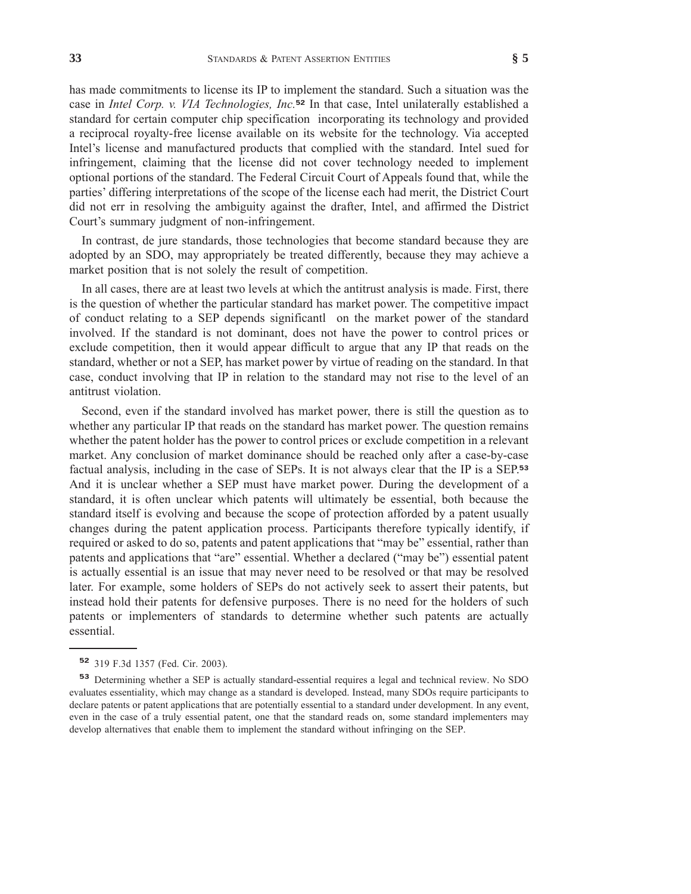has made commitments to license its IP to implement the standard. Such a situation was the case in *Intel Corp. v. VIA Technologies, Inc.***<sup>52</sup>** In that case, Intel unilaterally established a standard for certain computer chip specification incorporating its technology and provided a reciprocal royalty-free license available on its website for the technology. Via accepted Intel's license and manufactured products that complied with the standard. Intel sued for infringement, claiming that the license did not cover technology needed to implement optional portions of the standard. The Federal Circuit Court of Appeals found that, while the parties' differing interpretations of the scope of the license each had merit, the District Court did not err in resolving the ambiguity against the drafter, Intel, and affirmed the District Court's summary judgment of non-infringement.

In contrast, de jure standards, those technologies that become standard because they are adopted by an SDO, may appropriately be treated differently, because they may achieve a market position that is not solely the result of competition.

In all cases, there are at least two levels at which the antitrust analysis is made. First, there is the question of whether the particular standard has market power. The competitive impact of conduct relating to a SEP depends significantl on the market power of the standard involved. If the standard is not dominant, does not have the power to control prices or exclude competition, then it would appear difficult to argue that any IP that reads on the standard, whether or not a SEP, has market power by virtue of reading on the standard. In that case, conduct involving that IP in relation to the standard may not rise to the level of an antitrust violation.

Second, even if the standard involved has market power, there is still the question as to whether any particular IP that reads on the standard has market power. The question remains whether the patent holder has the power to control prices or exclude competition in a relevant market. Any conclusion of market dominance should be reached only after a case-by-case factual analysis, including in the case of SEPs. It is not always clear that the IP is a SEP.**<sup>53</sup>** And it is unclear whether a SEP must have market power. During the development of a standard, it is often unclear which patents will ultimately be essential, both because the standard itself is evolving and because the scope of protection afforded by a patent usually changes during the patent application process. Participants therefore typically identify, if required or asked to do so, patents and patent applications that "may be" essential, rather than patents and applications that "are" essential. Whether a declared ("may be") essential patent is actually essential is an issue that may never need to be resolved or that may be resolved later. For example, some holders of SEPs do not actively seek to assert their patents, but instead hold their patents for defensive purposes. There is no need for the holders of such patents or implementers of standards to determine whether such patents are actually essential.

**<sup>52</sup>** 319 F.3d 1357 (Fed. Cir. 2003).

**<sup>53</sup>** Determining whether a SEP is actually standard-essential requires a legal and technical review. No SDO evaluates essentiality, which may change as a standard is developed. Instead, many SDOs require participants to declare patents or patent applications that are potentially essential to a standard under development. In any event, even in the case of a truly essential patent, one that the standard reads on, some standard implementers may develop alternatives that enable them to implement the standard without infringing on the SEP.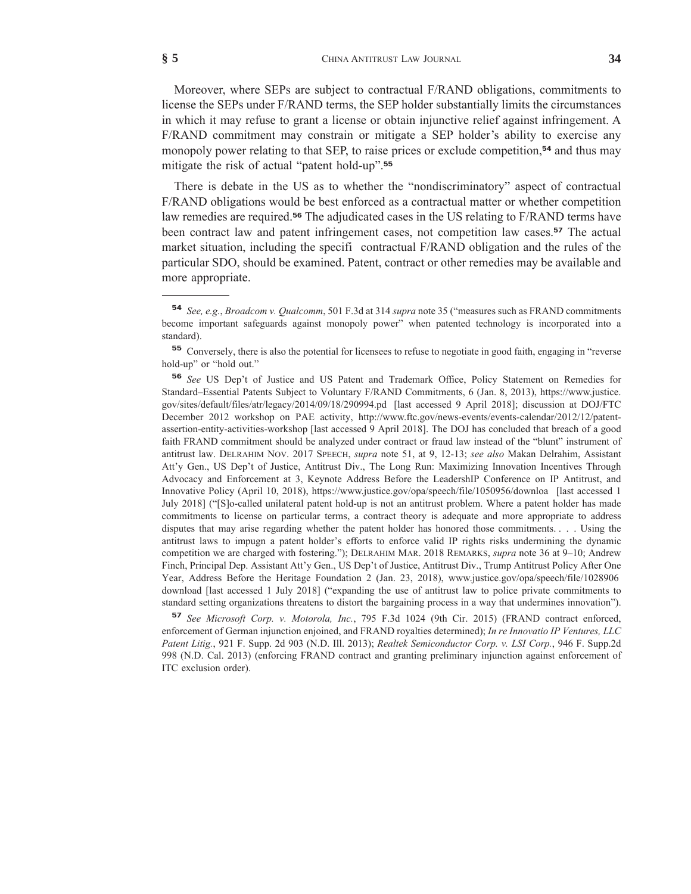Moreover, where SEPs are subject to contractual F/RAND obligations, commitments to license the SEPs under F/RAND terms, the SEP holder substantially limits the circumstances in which it may refuse to grant a license or obtain injunctive relief against infringement. A F/RAND commitment may constrain or mitigate a SEP holder's ability to exercise any monopoly power relating to that SEP, to raise prices or exclude competition,**<sup>54</sup>** and thus may mitigate the risk of actual "patent hold-up".**<sup>55</sup>**

There is debate in the US as to whether the "nondiscriminatory" aspect of contractual F/RAND obligations would be best enforced as a contractual matter or whether competition law remedies are required.**<sup>56</sup>** The adjudicated cases in the US relating to F/RAND terms have been contract law and patent infringement cases, not competition law cases.**<sup>57</sup>** The actual market situation, including the specifi contractual F/RAND obligation and the rules of the particular SDO, should be examined. Patent, contract or other remedies may be available and more appropriate.

**<sup>57</sup>** *See Microsoft Corp. v. Motorola, Inc.*, 795 F.3d 1024 (9th Cir. 2015) (FRAND contract enforced, enforcement of German injunction enjoined, and FRAND royalties determined); *In re Innovatio IP Ventures, LLC Patent Litig.*, 921 F. Supp. 2d 903 (N.D. Ill. 2013); *Realtek Semiconductor Corp. v. LSI Corp.*, 946 F. Supp.2d 998 (N.D. Cal. 2013) (enforcing FRAND contract and granting preliminary injunction against enforcement of ITC exclusion order).

**<sup>54</sup>** *See, e.g.*, *Broadcom v. Qualcomm*, 501 F.3d at 314 *supra* note 35 ("measures such as FRAND commitments become important safeguards against monopoly power" when patented technology is incorporated into a standard).

**<sup>55</sup>** Conversely, there is also the potential for licensees to refuse to negotiate in good faith, engaging in "reverse hold-up" or "hold out."

**<sup>56</sup>** *See* US Dep't of Justice and US Patent and Trademark Office, Policy Statement on Remedies for Standard–Essential Patents Subject to Voluntary F/RAND Commitments, 6 (Jan. 8, 2013), https://www.justice. gov/sites/default/files/atr/legacy/2014/09/18/290994.pd [last accessed 9 April 2018]; discussion at DOJ/FTC December 2012 workshop on PAE activity, http://www.ftc.gov/news-events/events-calendar/2012/12/patentassertion-entity-activities-workshop [last accessed 9 April 2018]. The DOJ has concluded that breach of a good faith FRAND commitment should be analyzed under contract or fraud law instead of the "blunt" instrument of antitrust law. DELRAHIM NOV. 2017 SPEECH, *supra* note 51, at 9, 12-13; *see also* Makan Delrahim, Assistant Att'y Gen., US Dep't of Justice, Antitrust Div., The Long Run: Maximizing Innovation Incentives Through Advocacy and Enforcement at 3, Keynote Address Before the LeadershIP Conference on IP Antitrust, and Innovative Policy (April 10, 2018), https://www.justice.gov/opa/speech/file/1050956/downloa [last accessed 1 July 2018] ("[S]o-called unilateral patent hold-up is not an antitrust problem. Where a patent holder has made commitments to license on particular terms, a contract theory is adequate and more appropriate to address disputes that may arise regarding whether the patent holder has honored those commitments. . . . Using the antitrust laws to impugn a patent holder's efforts to enforce valid IP rights risks undermining the dynamic competition we are charged with fostering."); DELRAHIM MAR. 2018 REMARKS, *supra* note 36 at 9–10; Andrew Finch, Principal Dep. Assistant Att'y Gen., US Dep't of Justice, Antitrust Div., Trump Antitrust Policy After One Year, Address Before the Heritage Foundation 2 (Jan. 23, 2018), www.justice.gov/opa/speech/file/1028906 download [last accessed 1 July 2018] ("expanding the use of antitrust law to police private commitments to standard setting organizations threatens to distort the bargaining process in a way that undermines innovation").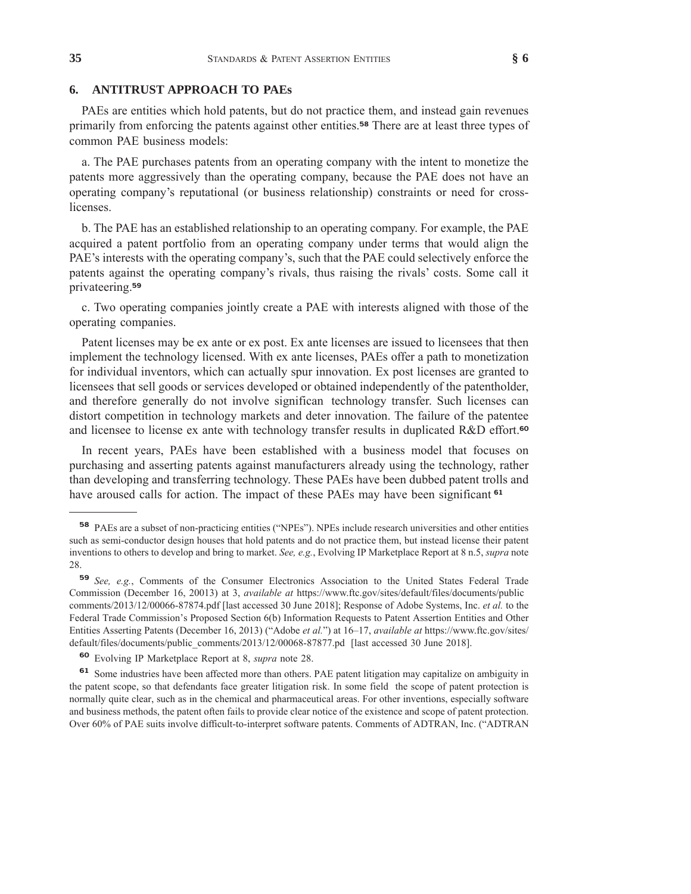#### **6. ANTITRUST APPROACH TO PAEs**

PAEs are entities which hold patents, but do not practice them, and instead gain revenues primarily from enforcing the patents against other entities.**<sup>58</sup>** There are at least three types of common PAE business models:

a. The PAE purchases patents from an operating company with the intent to monetize the patents more aggressively than the operating company, because the PAE does not have an operating company's reputational (or business relationship) constraints or need for crosslicenses.

b. The PAE has an established relationship to an operating company. For example, the PAE acquired a patent portfolio from an operating company under terms that would align the PAE's interests with the operating company's, such that the PAE could selectively enforce the patents against the operating company's rivals, thus raising the rivals' costs. Some call it privateering.**<sup>59</sup>**

c. Two operating companies jointly create a PAE with interests aligned with those of the operating companies.

Patent licenses may be ex ante or ex post. Ex ante licenses are issued to licensees that then implement the technology licensed. With ex ante licenses, PAEs offer a path to monetization for individual inventors, which can actually spur innovation. Ex post licenses are granted to licensees that sell goods or services developed or obtained independently of the patentholder, and therefore generally do not involve significan technology transfer. Such licenses can distort competition in technology markets and deter innovation. The failure of the patentee and licensee to license ex ante with technology transfer results in duplicated R&D effort.**<sup>60</sup>**

In recent years, PAEs have been established with a business model that focuses on purchasing and asserting patents against manufacturers already using the technology, rather than developing and transferring technology. These PAEs have been dubbed patent trolls and have aroused calls for action. The impact of these PAEs may have been significant **<sup>61</sup>**

**<sup>58</sup>** PAEs are a subset of non-practicing entities ("NPEs"). NPEs include research universities and other entities such as semi-conductor design houses that hold patents and do not practice them, but instead license their patent inventions to others to develop and bring to market. *See, e.g.*, Evolving IP Marketplace Report at 8 n.5, *supra* note 28.

**<sup>59</sup>** *See, e.g.*, Comments of the Consumer Electronics Association to the United States Federal Trade Commission (December 16, 20013) at 3, *available at* https://www.ftc.gov/sites/default/files/documents/public comments/2013/12/00066-87874.pdf [last accessed 30 June 2018]; Response of Adobe Systems, Inc. *et al.* to the Federal Trade Commission's Proposed Section 6(b) Information Requests to Patent Assertion Entities and Other Entities Asserting Patents (December 16, 2013) ("Adobe *et al.*") at 16–17, *available at* https://www.ftc.gov/sites/ default/files/documents/public\_comments/2013/12/00068-87877.pd [last accessed 30 June 2018].

**<sup>60</sup>** Evolving IP Marketplace Report at 8, *supra* note 28.

**<sup>61</sup>** Some industries have been affected more than others. PAE patent litigation may capitalize on ambiguity in the patent scope, so that defendants face greater litigation risk. In some field the scope of patent protection is normally quite clear, such as in the chemical and pharmaceutical areas. For other inventions, especially software and business methods, the patent often fails to provide clear notice of the existence and scope of patent protection. Over 60% of PAE suits involve difficult-to-interpret software patents. Comments of ADTRAN, Inc. ("ADTRAN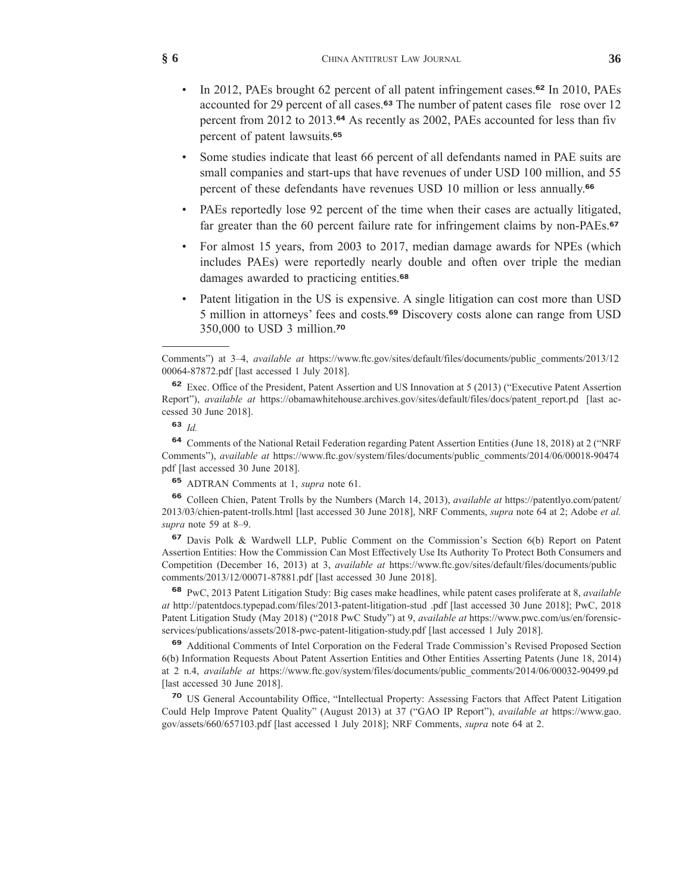- In 2012, PAEs brought 62 percent of all patent infringement cases.**<sup>62</sup>** In 2010, PAEs accounted for 29 percent of all cases.**<sup>63</sup>** The number of patent cases file rose over 12 percent from 2012 to 2013.**<sup>64</sup>** As recently as 2002, PAEs accounted for less than fiv percent of patent lawsuits.**<sup>65</sup>**
- Some studies indicate that least 66 percent of all defendants named in PAE suits are small companies and start-ups that have revenues of under USD 100 million, and 55 percent of these defendants have revenues USD 10 million or less annually.**<sup>66</sup>**
- PAEs reportedly lose 92 percent of the time when their cases are actually litigated, far greater than the 60 percent failure rate for infringement claims by non-PAEs.**<sup>67</sup>**
- For almost 15 years, from 2003 to 2017, median damage awards for NPEs (which includes PAEs) were reportedly nearly double and often over triple the median damages awarded to practicing entities.**<sup>68</sup>**
- Patent litigation in the US is expensive. A single litigation can cost more than USD 5 million in attorneys' fees and costs.**<sup>69</sup>** Discovery costs alone can range from USD 350,000 to USD 3 million.**<sup>70</sup>**

**<sup>64</sup>** Comments of the National Retail Federation regarding Patent Assertion Entities (June 18, 2018) at 2 ("NRF Comments"), *available at* https://www.ftc.gov/system/files/documents/public\_comments/2014/06/00018-90474 pdf [last accessed 30 June 2018].

**<sup>65</sup>** ADTRAN Comments at 1, *supra* note 61.

**<sup>66</sup>** Colleen Chien, Patent Trolls by the Numbers (March 14, 2013), *available at* https://patentlyo.com/patent/ 2013/03/chien-patent-trolls.html [last accessed 30 June 2018], NRF Comments, *supra* note 64 at 2; Adobe *et al. supra* note 59 at 8–9.

**<sup>67</sup>** Davis Polk & Wardwell LLP, Public Comment on the Commission's Section 6(b) Report on Patent Assertion Entities: How the Commission Can Most Effectively Use Its Authority To Protect Both Consumers and Competition (December 16, 2013) at 3, *available at* https://www.ftc.gov/sites/default/files/documents/public comments/2013/12/00071-87881.pdf [last accessed 30 June 2018].

**<sup>68</sup>** PwC, 2013 Patent Litigation Study: Big cases make headlines, while patent cases proliferate at 8, *available at* http://patentdocs.typepad.com/files/2013-patent-litigation-stud .pdf [last accessed 30 June 2018]; PwC, 2018 Patent Litigation Study (May 2018) ("2018 PwC Study") at 9, *available at* https://www.pwc.com/us/en/forensicservices/publications/assets/2018-pwc-patent-litigation-study.pdf [last accessed 1 July 2018].

**<sup>69</sup>** Additional Comments of Intel Corporation on the Federal Trade Commission's Revised Proposed Section 6(b) Information Requests About Patent Assertion Entities and Other Entities Asserting Patents (June 18, 2014) at 2 n.4, *available at* https://www.ftc.gov/system/files/documents/public\_comments/2014/06/00032-90499.pd [last accessed 30 June 2018].

**<sup>70</sup>** US General Accountability Office, "Intellectual Property: Assessing Factors that Affect Patent Litigation Could Help Improve Patent Quality" (August 2013) at 37 ("GAO IP Report"), *available at* https://www.gao. gov/assets/660/657103.pdf [last accessed 1 July 2018]; NRF Comments, *supra* note 64 at 2.

Comments") at 3–4, *available at* https://www.ftc.gov/sites/default/files/documents/public\_comments/2013/12 00064-87872.pdf [last accessed 1 July 2018].

**<sup>62</sup>** Exec. Office of the President, Patent Assertion and US Innovation at 5 (2013) ("Executive Patent Assertion Report"), *available at* https://obamawhitehouse.archives.gov/sites/default/files/docs/patent\_report.pd [last accessed 30 June 2018].

**<sup>63</sup>** *Id.*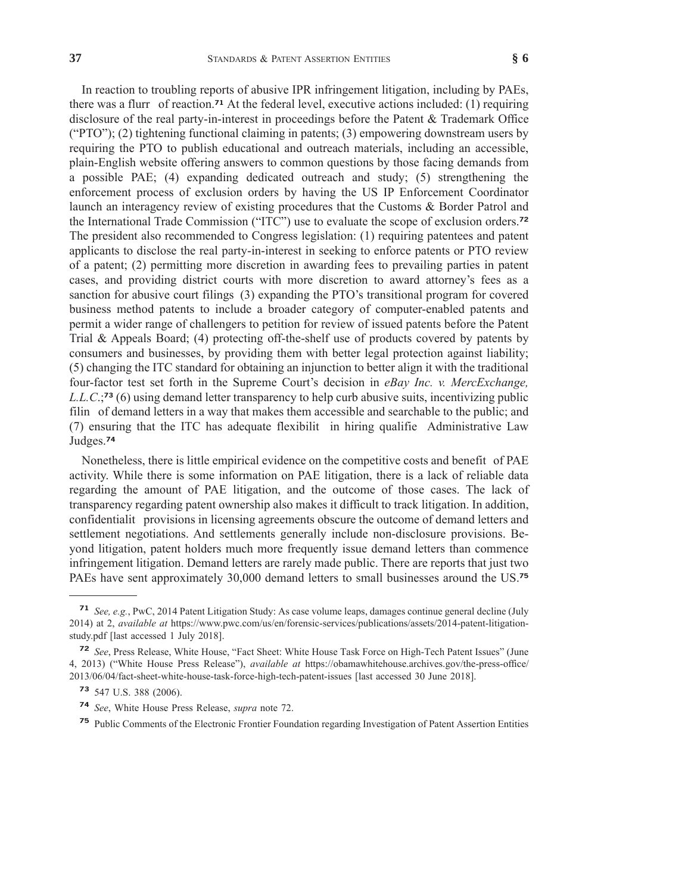In reaction to troubling reports of abusive IPR infringement litigation, including by PAEs, there was a flurr of reaction.**<sup>71</sup>** At the federal level, executive actions included: (1) requiring disclosure of the real party-in-interest in proceedings before the Patent & Trademark Office ("PTO"); (2) tightening functional claiming in patents; (3) empowering downstream users by requiring the PTO to publish educational and outreach materials, including an accessible, plain-English website offering answers to common questions by those facing demands from a possible PAE; (4) expanding dedicated outreach and study; (5) strengthening the enforcement process of exclusion orders by having the US IP Enforcement Coordinator launch an interagency review of existing procedures that the Customs & Border Patrol and the International Trade Commission ("ITC") use to evaluate the scope of exclusion orders.**<sup>72</sup>** The president also recommended to Congress legislation: (1) requiring patentees and patent applicants to disclose the real party-in-interest in seeking to enforce patents or PTO review of a patent; (2) permitting more discretion in awarding fees to prevailing parties in patent

cases, and providing district courts with more discretion to award attorney's fees as a sanction for abusive court filings (3) expanding the PTO's transitional program for covered business method patents to include a broader category of computer-enabled patents and permit a wider range of challengers to petition for review of issued patents before the Patent Trial & Appeals Board; (4) protecting off-the-shelf use of products covered by patents by consumers and businesses, by providing them with better legal protection against liability; (5) changing the ITC standard for obtaining an injunction to better align it with the traditional four-factor test set forth in the Supreme Court's decision in *eBay Inc. v. MercExchange, L.L.C*.;**<sup>73</sup>** (6) using demand letter transparency to help curb abusive suits, incentivizing public filin of demand letters in a way that makes them accessible and searchable to the public; and (7) ensuring that the ITC has adequate flexibilit in hiring qualifie Administrative Law Judges.**<sup>74</sup>**

Nonetheless, there is little empirical evidence on the competitive costs and benefit of PAE activity. While there is some information on PAE litigation, there is a lack of reliable data regarding the amount of PAE litigation, and the outcome of those cases. The lack of transparency regarding patent ownership also makes it difficult to track litigation. In addition, confidentialit provisions in licensing agreements obscure the outcome of demand letters and settlement negotiations. And settlements generally include non-disclosure provisions. Beyond litigation, patent holders much more frequently issue demand letters than commence infringement litigation. Demand letters are rarely made public. There are reports that just two PAEs have sent approximately 30,000 demand letters to small businesses around the US.**<sup>75</sup>**

**<sup>71</sup>** *See, e.g.*, PwC, 2014 Patent Litigation Study: As case volume leaps, damages continue general decline (July 2014) at 2, *available at* https://www.pwc.com/us/en/forensic-services/publications/assets/2014-patent-litigationstudy.pdf [last accessed 1 July 2018].

**<sup>72</sup>** *See*, Press Release, White House, "Fact Sheet: White House Task Force on High-Tech Patent Issues" (June 4, 2013) ("White House Press Release"), *available at* https://obamawhitehouse.archives.gov/the-press-office/ 2013/06/04/fact-sheet-white-house-task-force-high-tech-patent-issues [last accessed 30 June 2018].

**<sup>73</sup>** 547 U.S. 388 (2006).

**<sup>74</sup>** *See*, White House Press Release, *supra* note 72.

**<sup>75</sup>** Public Comments of the Electronic Frontier Foundation regarding Investigation of Patent Assertion Entities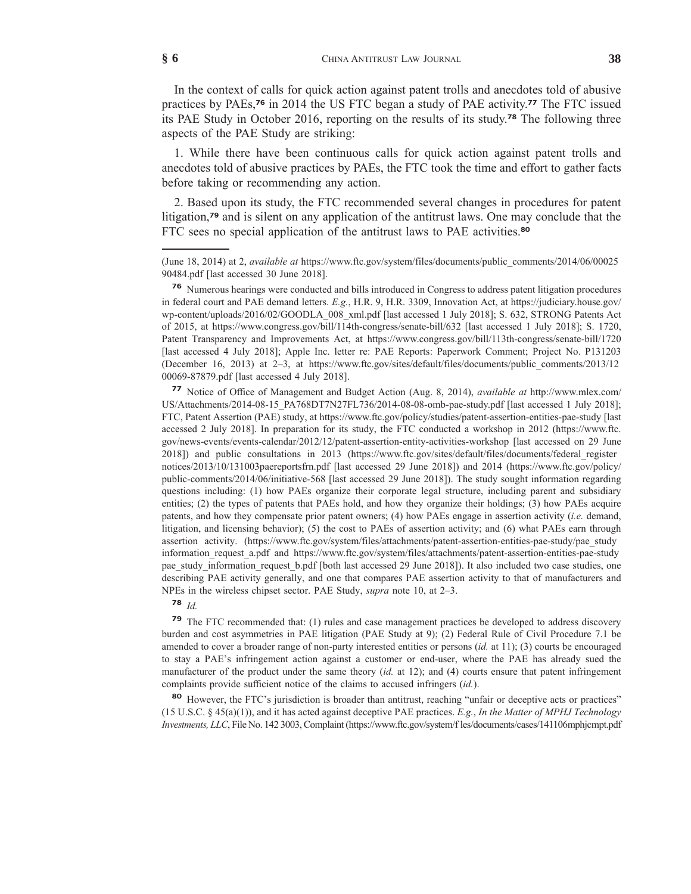In the context of calls for quick action against patent trolls and anecdotes told of abusive practices by PAEs,**<sup>76</sup>** in 2014 the US FTC began a study of PAE activity.**<sup>77</sup>** The FTC issued its PAE Study in October 2016, reporting on the results of its study.**<sup>78</sup>** The following three aspects of the PAE Study are striking:

1. While there have been continuous calls for quick action against patent trolls and anecdotes told of abusive practices by PAEs, the FTC took the time and effort to gather facts before taking or recommending any action.

2. Based upon its study, the FTC recommended several changes in procedures for patent litigation,**<sup>79</sup>** and is silent on any application of the antitrust laws. One may conclude that the FTC sees no special application of the antitrust laws to PAE activities.**<sup>80</sup>**

**<sup>77</sup>** Notice of Office of Management and Budget Action (Aug. 8, 2014), *available at* http://www.mlex.com/ US/Attachments/2014-08-15\_PA768DT7N27FL736/2014-08-08-omb-pae-study.pdf [last accessed 1 July 2018]; FTC, Patent Assertion (PAE) study, at https://www.ftc.gov/policy/studies/patent-assertion-entities-pae-study [last accessed 2 July 2018]. In preparation for its study, the FTC conducted a workshop in 2012 (https://www.ftc. gov/news-events/events-calendar/2012/12/patent-assertion-entity-activities-workshop [last accessed on 29 June 2018]) and public consultations in 2013 (https://www.ftc.gov/sites/default/files/documents/federal\_register notices/2013/10/131003paereportsfrn.pdf [last accessed 29 June 2018]) and 2014 (https://www.ftc.gov/policy/ public-comments/2014/06/initiative-568 [last accessed 29 June 2018]). The study sought information regarding questions including: (1) how PAEs organize their corporate legal structure, including parent and subsidiary entities; (2) the types of patents that PAEs hold, and how they organize their holdings; (3) how PAEs acquire patents, and how they compensate prior patent owners; (4) how PAEs engage in assertion activity (*i.e.* demand, litigation, and licensing behavior); (5) the cost to PAEs of assertion activity; and (6) what PAEs earn through assertion activity. (https://www.ftc.gov/system/files/attachments/patent-assertion-entities-pae-study/pae\_study information\_request\_a.pdf and https://www.ftc.gov/system/files/attachments/patent-assertion-entities-pae-study pae\_study\_information\_request\_b.pdf [both last accessed 29 June 2018]). It also included two case studies, one describing PAE activity generally, and one that compares PAE assertion activity to that of manufacturers and NPEs in the wireless chipset sector. PAE Study, *supra* note 10, at 2–3.

# **<sup>78</sup>** *Id.*

**<sup>79</sup>** The FTC recommended that: (1) rules and case management practices be developed to address discovery burden and cost asymmetries in PAE litigation (PAE Study at 9); (2) Federal Rule of Civil Procedure 7.1 be amended to cover a broader range of non-party interested entities or persons (*id.* at 11); (3) courts be encouraged to stay a PAE's infringement action against a customer or end-user, where the PAE has already sued the manufacturer of the product under the same theory (*id.* at 12); and (4) courts ensure that patent infringement complaints provide sufficient notice of the claims to accused infringers (*id.*).

**<sup>80</sup>** However, the FTC's jurisdiction is broader than antitrust, reaching "unfair or deceptive acts or practices" (15 U.S.C. § 45(a)(1)), and it has acted against deceptive PAE practices. *E.g.*, *In the Matter of MPHJ Technology Investments, LLC*, File No. 142 3003, Complaint (https://www.ftc.gov/system/f les/documents/cases/141106mphjcmpt.pdf

<sup>(</sup>June 18, 2014) at 2, *available at* https://www.ftc.gov/system/files/documents/public\_comments/2014/06/00025 90484.pdf [last accessed 30 June 2018].

**<sup>76</sup>** Numerous hearings were conducted and bills introduced in Congress to address patent litigation procedures in federal court and PAE demand letters. *E.g.*, H.R. 9, H.R. 3309, Innovation Act, at https://judiciary.house.gov/ wp-content/uploads/2016/02/GOODLA\_008\_xml.pdf [last accessed 1 July 2018]; S. 632, STRONG Patents Act of 2015, at https://www.congress.gov/bill/114th-congress/senate-bill/632 [last accessed 1 July 2018]; S. 1720, Patent Transparency and Improvements Act, at https://www.congress.gov/bill/113th-congress/senate-bill/1720 [last accessed 4 July 2018]; Apple Inc. letter re: PAE Reports: Paperwork Comment; Project No. P131203 (December 16, 2013) at 2–3, at https://www.ftc.gov/sites/default/files/documents/public\_comments/2013/12 00069-87879.pdf [last accessed 4 July 2018].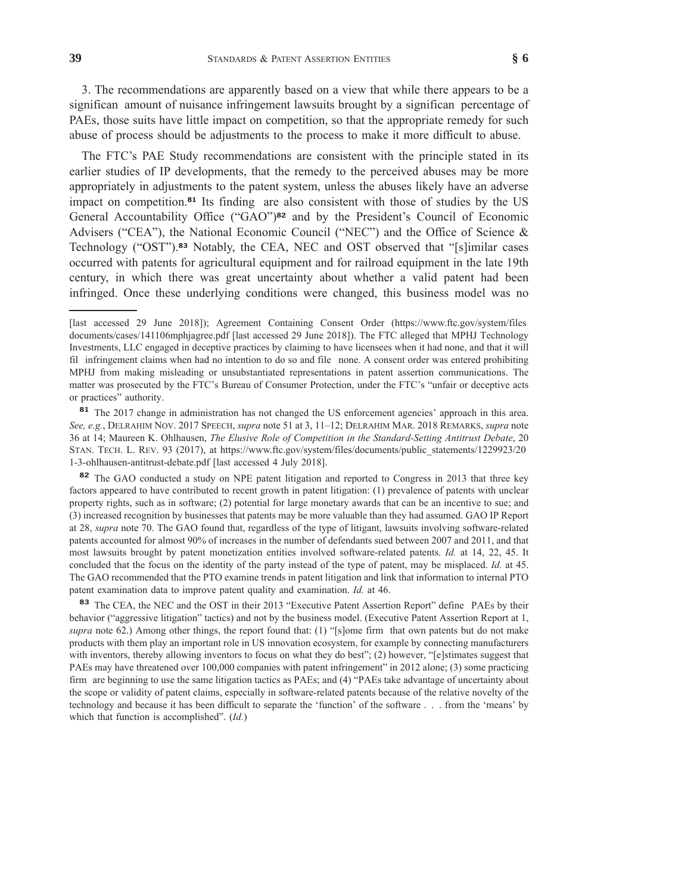3. The recommendations are apparently based on a view that while there appears to be a significan amount of nuisance infringement lawsuits brought by a significan percentage of PAEs, those suits have little impact on competition, so that the appropriate remedy for such abuse of process should be adjustments to the process to make it more difficult to abuse.

The FTC's PAE Study recommendations are consistent with the principle stated in its earlier studies of IP developments, that the remedy to the perceived abuses may be more appropriately in adjustments to the patent system, unless the abuses likely have an adverse impact on competition.**<sup>81</sup>** Its finding are also consistent with those of studies by the US General Accountability Office ("GAO")**<sup>82</sup>** and by the President's Council of Economic Advisers ("CEA"), the National Economic Council ("NEC") and the Office of Science & Technology ("OST").**<sup>83</sup>** Notably, the CEA, NEC and OST observed that "[s]imilar cases occurred with patents for agricultural equipment and for railroad equipment in the late 19th century, in which there was great uncertainty about whether a valid patent had been infringed. Once these underlying conditions were changed, this business model was no

**<sup>82</sup>** The GAO conducted a study on NPE patent litigation and reported to Congress in 2013 that three key factors appeared to have contributed to recent growth in patent litigation: (1) prevalence of patents with unclear property rights, such as in software; (2) potential for large monetary awards that can be an incentive to sue; and (3) increased recognition by businesses that patents may be more valuable than they had assumed. GAO IP Report at 28, *supra* note 70. The GAO found that, regardless of the type of litigant, lawsuits involving software-related patents accounted for almost 90% of increases in the number of defendants sued between 2007 and 2011, and that most lawsuits brought by patent monetization entities involved software-related patents. *Id.* at 14, 22, 45. It concluded that the focus on the identity of the party instead of the type of patent, may be misplaced. *Id.* at 45. The GAO recommended that the PTO examine trends in patent litigation and link that information to internal PTO patent examination data to improve patent quality and examination. *Id.* at 46.

**<sup>83</sup>** The CEA, the NEC and the OST in their 2013 "Executive Patent Assertion Report" define PAEs by their behavior ("aggressive litigation" tactics) and not by the business model. (Executive Patent Assertion Report at 1, *supra* note 62.) Among other things, the report found that: (1) "[s]ome firm that own patents but do not make products with them play an important role in US innovation ecosystem, for example by connecting manufacturers with inventors, thereby allowing inventors to focus on what they do best"; (2) however, "[e]stimates suggest that PAEs may have threatened over 100,000 companies with patent infringement" in 2012 alone; (3) some practicing firm are beginning to use the same litigation tactics as PAEs; and (4) "PAEs take advantage of uncertainty about the scope or validity of patent claims, especially in software-related patents because of the relative novelty of the technology and because it has been difficult to separate the 'function' of the software . . . from the 'means' by which that function is accomplished". (*Id.*)

<sup>[</sup>last accessed 29 June 2018]); Agreement Containing Consent Order (https://www.ftc.gov/system/files documents/cases/141106mphjagree.pdf [last accessed 29 June 2018]). The FTC alleged that MPHJ Technology Investments, LLC engaged in deceptive practices by claiming to have licensees when it had none, and that it will fil infringement claims when had no intention to do so and file none. A consent order was entered prohibiting MPHJ from making misleading or unsubstantiated representations in patent assertion communications. The matter was prosecuted by the FTC's Bureau of Consumer Protection, under the FTC's "unfair or deceptive acts or practices" authority.

**<sup>81</sup>** The 2017 change in administration has not changed the US enforcement agencies' approach in this area. *See, e.g.*, DELRAHIM NOV. 2017 SPEECH, *supra* note 51 at 3, 11–12; DELRAHIM MAR. 2018 REMARKS, *supra* note 36 at 14; Maureen K. Ohlhausen, *The Elusive Role of Competition in the Standard-Setting Antitrust Debate*, 20 STAN. TECH. L. REV. 93 (2017), at https://www.ftc.gov/system/files/documents/public\_statements/1229923/20 1-3-ohlhausen-antitrust-debate.pdf [last accessed 4 July 2018].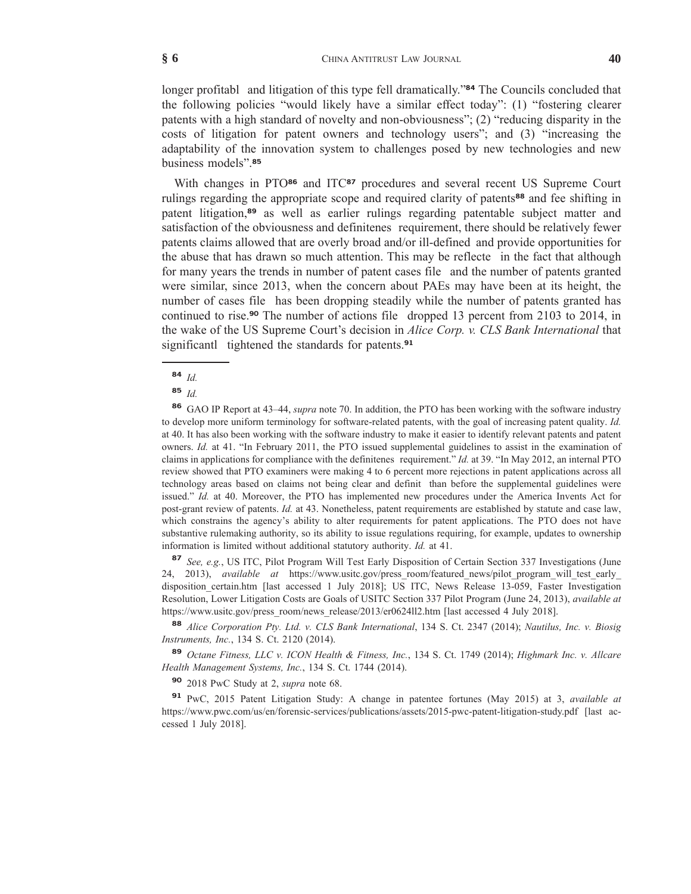longer profitabl and litigation of this type fell dramatically."**<sup>84</sup>** The Councils concluded that the following policies "would likely have a similar effect today": (1) "fostering clearer patents with a high standard of novelty and non-obviousness"; (2) "reducing disparity in the costs of litigation for patent owners and technology users"; and (3) "increasing the adaptability of the innovation system to challenges posed by new technologies and new business models".**<sup>85</sup>**

With changes in PTO<sup>86</sup> and ITC<sup>87</sup> procedures and several recent US Supreme Court rulings regarding the appropriate scope and required clarity of patents**<sup>88</sup>** and fee shifting in patent litigation,**<sup>89</sup>** as well as earlier rulings regarding patentable subject matter and satisfaction of the obviousness and definitenes requirement, there should be relatively fewer patents claims allowed that are overly broad and/or ill-defined and provide opportunities for the abuse that has drawn so much attention. This may be reflecte in the fact that although for many years the trends in number of patent cases file and the number of patents granted were similar, since 2013, when the concern about PAEs may have been at its height, the number of cases file has been dropping steadily while the number of patents granted has continued to rise.**<sup>90</sup>** The number of actions file dropped 13 percent from 2103 to 2014, in the wake of the US Supreme Court's decision in *Alice Corp. v. CLS Bank International* that significantl tightened the standards for patents.**<sup>91</sup>**

**<sup>85</sup>** *Id.*

**<sup>86</sup>** GAO IP Report at 43–44, *supra* note 70. In addition, the PTO has been working with the software industry to develop more uniform terminology for software-related patents, with the goal of increasing patent quality. *Id.* at 40. It has also been working with the software industry to make it easier to identify relevant patents and patent owners. *Id.* at 41. "In February 2011, the PTO issued supplemental guidelines to assist in the examination of claims in applications for compliance with the definitenes requirement." *Id.* at 39. "In May 2012, an internal PTO review showed that PTO examiners were making 4 to 6 percent more rejections in patent applications across all technology areas based on claims not being clear and definit than before the supplemental guidelines were issued." *Id.* at 40. Moreover, the PTO has implemented new procedures under the America Invents Act for post-grant review of patents. *Id.* at 43. Nonetheless, patent requirements are established by statute and case law, which constrains the agency's ability to alter requirements for patent applications. The PTO does not have substantive rulemaking authority, so its ability to issue regulations requiring, for example, updates to ownership information is limited without additional statutory authority. *Id.* at 41.

**<sup>87</sup>** *See, e.g.*, US ITC, Pilot Program Will Test Early Disposition of Certain Section 337 Investigations (June 24, 2013), *available at* https://www.usitc.gov/press\_room/featured\_news/pilot\_program\_will\_test\_early\_ disposition certain.htm [last accessed 1 July 2018]; US ITC, News Release 13-059, Faster Investigation Resolution, Lower Litigation Costs are Goals of USITC Section 337 Pilot Program (June 24, 2013), *available at* https://www.usitc.gov/press\_room/news\_release/2013/er0624ll2.htm [last accessed 4 July 2018].

**<sup>88</sup>** *Alice Corporation Pty. Ltd. v. CLS Bank International*, 134 S. Ct. 2347 (2014); *Nautilus, Inc. v. Biosig Instruments, Inc.*, 134 S. Ct. 2120 (2014).

**<sup>89</sup>** *Octane Fitness, LLC v. ICON Health & Fitness, Inc.*, 134 S. Ct. 1749 (2014); *Highmark Inc. v. Allcare Health Management Systems, Inc.*, 134 S. Ct. 1744 (2014).

**<sup>90</sup>** 2018 PwC Study at 2, *supra* note 68.

**<sup>91</sup>** PwC, 2015 Patent Litigation Study: A change in patentee fortunes (May 2015) at 3, *available at* https://www.pwc.com/us/en/forensic-services/publications/assets/2015-pwc-patent-litigation-study.pdf [last accessed 1 July 2018].

**<sup>84</sup>** *Id.*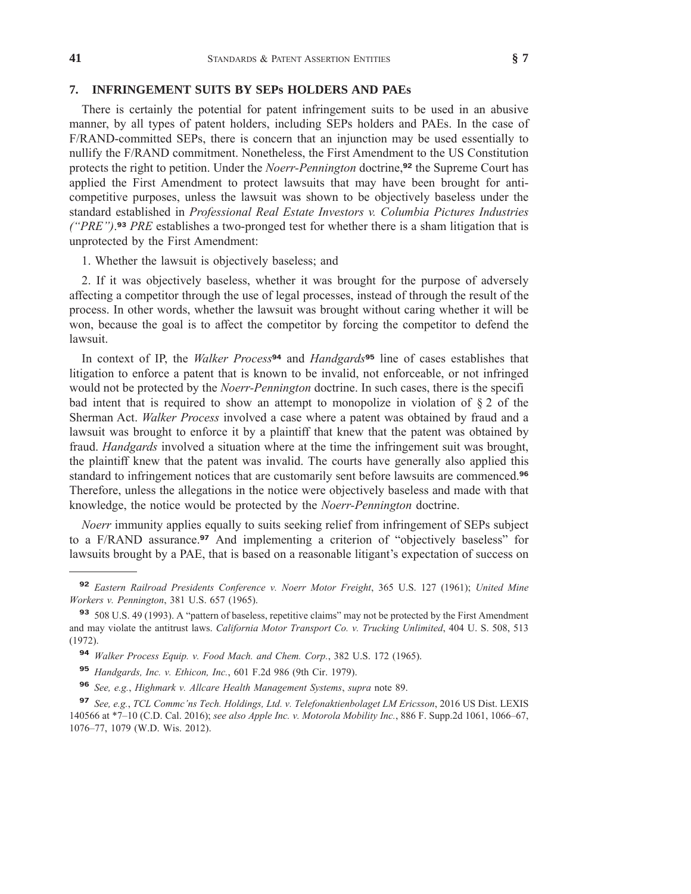#### **7. INFRINGEMENT SUITS BY SEPs HOLDERS AND PAEs**

There is certainly the potential for patent infringement suits to be used in an abusive manner, by all types of patent holders, including SEPs holders and PAEs. In the case of F/RAND-committed SEPs, there is concern that an injunction may be used essentially to nullify the F/RAND commitment. Nonetheless, the First Amendment to the US Constitution protects the right to petition. Under the *Noerr-Pennington* doctrine,**<sup>92</sup>** the Supreme Court has applied the First Amendment to protect lawsuits that may have been brought for anticompetitive purposes, unless the lawsuit was shown to be objectively baseless under the standard established in *Professional Real Estate Investors v. Columbia Pictures Industries ("PRE")*. **<sup>93</sup>** *PRE* establishes a two-pronged test for whether there is a sham litigation that is unprotected by the First Amendment:

1. Whether the lawsuit is objectively baseless; and

2. If it was objectively baseless, whether it was brought for the purpose of adversely affecting a competitor through the use of legal processes, instead of through the result of the process. In other words, whether the lawsuit was brought without caring whether it will be won, because the goal is to affect the competitor by forcing the competitor to defend the lawsuit.

In context of IP, the *Walker Process***<sup>94</sup>** and *Handgards***<sup>95</sup>** line of cases establishes that litigation to enforce a patent that is known to be invalid, not enforceable, or not infringed would not be protected by the *Noerr-Pennington* doctrine. In such cases, there is the specifi bad intent that is required to show an attempt to monopolize in violation of  $\S 2$  of the Sherman Act. *Walker Process* involved a case where a patent was obtained by fraud and a lawsuit was brought to enforce it by a plaintiff that knew that the patent was obtained by fraud. *Handgards* involved a situation where at the time the infringement suit was brought, the plaintiff knew that the patent was invalid. The courts have generally also applied this standard to infringement notices that are customarily sent before lawsuits are commenced.**<sup>96</sup>** Therefore, unless the allegations in the notice were objectively baseless and made with that knowledge, the notice would be protected by the *Noerr-Pennington* doctrine.

*Noerr* immunity applies equally to suits seeking relief from infringement of SEPs subject to a F/RAND assurance.**<sup>97</sup>** And implementing a criterion of "objectively baseless" for lawsuits brought by a PAE, that is based on a reasonable litigant's expectation of success on

**<sup>92</sup>** *Eastern Railroad Presidents Conference v. Noerr Motor Freight*, 365 U.S. 127 (1961); *United Mine Workers v. Pennington*, 381 U.S. 657 (1965).

**<sup>93</sup>** 508 U.S. 49 (1993). A "pattern of baseless, repetitive claims" may not be protected by the First Amendment and may violate the antitrust laws. *California Motor Transport Co. v. Trucking Unlimited*, 404 U. S. 508, 513 (1972).

**<sup>94</sup>** *Walker Process Equip. v. Food Mach. and Chem. Corp.*, 382 U.S. 172 (1965).

**<sup>95</sup>** *Handgards, Inc. v. Ethicon, Inc.*, 601 F.2d 986 (9th Cir. 1979).

**<sup>96</sup>** *See, e.g.*, *Highmark v. Allcare Health Management Systems*, *supra* note 89.

**<sup>97</sup>** *See, e.g.*, *TCL Commc'ns Tech. Holdings, Ltd. v. Telefonaktienbolaget LM Ericsson*, 2016 US Dist. LEXIS 140566 at \*7–10 (C.D. Cal. 2016); *see also Apple Inc. v. Motorola Mobility Inc.*, 886 F. Supp.2d 1061, 1066–67, 1076–77, 1079 (W.D. Wis. 2012).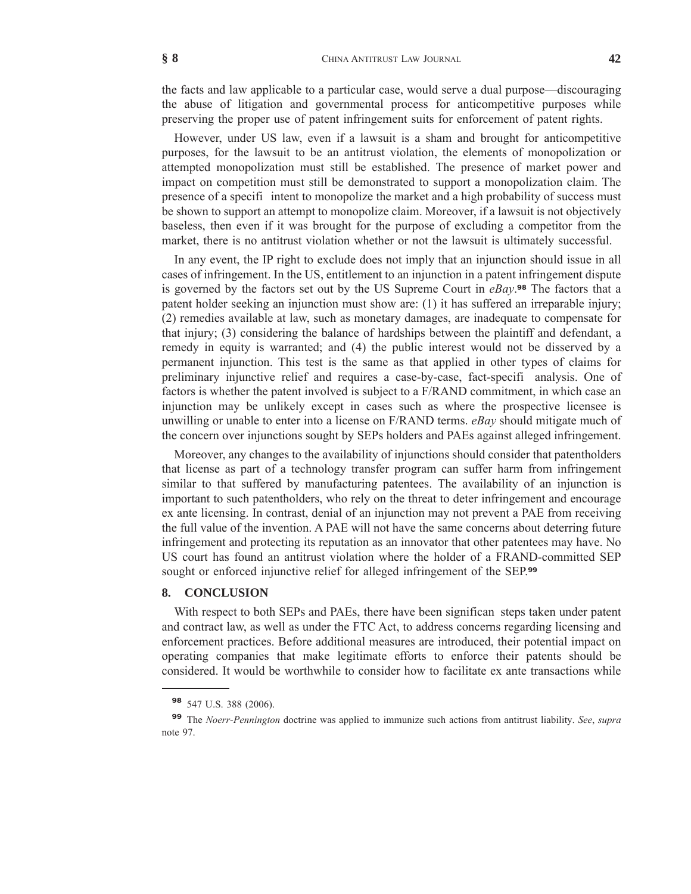the facts and law applicable to a particular case, would serve a dual purpose—discouraging the abuse of litigation and governmental process for anticompetitive purposes while preserving the proper use of patent infringement suits for enforcement of patent rights.

However, under US law, even if a lawsuit is a sham and brought for anticompetitive purposes, for the lawsuit to be an antitrust violation, the elements of monopolization or attempted monopolization must still be established. The presence of market power and impact on competition must still be demonstrated to support a monopolization claim. The presence of a specifi intent to monopolize the market and a high probability of success must be shown to support an attempt to monopolize claim. Moreover, if a lawsuit is not objectively baseless, then even if it was brought for the purpose of excluding a competitor from the market, there is no antitrust violation whether or not the lawsuit is ultimately successful.

In any event, the IP right to exclude does not imply that an injunction should issue in all cases of infringement. In the US, entitlement to an injunction in a patent infringement dispute is governed by the factors set out by the US Supreme Court in *eBay*. **<sup>98</sup>** The factors that a patent holder seeking an injunction must show are: (1) it has suffered an irreparable injury; (2) remedies available at law, such as monetary damages, are inadequate to compensate for that injury; (3) considering the balance of hardships between the plaintiff and defendant, a remedy in equity is warranted; and (4) the public interest would not be disserved by a permanent injunction. This test is the same as that applied in other types of claims for preliminary injunctive relief and requires a case-by-case, fact-specifi analysis. One of factors is whether the patent involved is subject to a F/RAND commitment, in which case an injunction may be unlikely except in cases such as where the prospective licensee is unwilling or unable to enter into a license on F/RAND terms. *eBay* should mitigate much of the concern over injunctions sought by SEPs holders and PAEs against alleged infringement.

Moreover, any changes to the availability of injunctions should consider that patentholders that license as part of a technology transfer program can suffer harm from infringement similar to that suffered by manufacturing patentees. The availability of an injunction is important to such patentholders, who rely on the threat to deter infringement and encourage ex ante licensing. In contrast, denial of an injunction may not prevent a PAE from receiving the full value of the invention. A PAE will not have the same concerns about deterring future infringement and protecting its reputation as an innovator that other patentees may have. No US court has found an antitrust violation where the holder of a FRAND-committed SEP sought or enforced injunctive relief for alleged infringement of the SEP.**<sup>99</sup>**

#### **8. CONCLUSION**

With respect to both SEPs and PAEs, there have been significan steps taken under patent and contract law, as well as under the FTC Act, to address concerns regarding licensing and enforcement practices. Before additional measures are introduced, their potential impact on operating companies that make legitimate efforts to enforce their patents should be considered. It would be worthwhile to consider how to facilitate ex ante transactions while

**<sup>98</sup>** 547 U.S. 388 (2006).

**<sup>99</sup>** The *Noerr-Pennington* doctrine was applied to immunize such actions from antitrust liability. *See*, *supra* note 97.